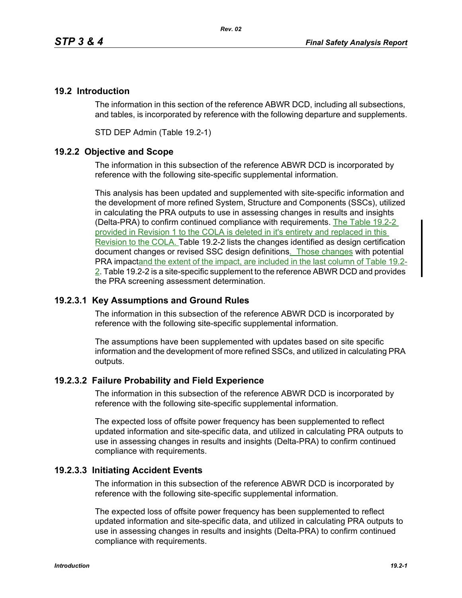# **19.2 Introduction**

The information in this section of the reference ABWR DCD, including all subsections, and tables, is incorporated by reference with the following departure and supplements.

STD DEP Admin (Table 19.2-1)

# **19.2.2 Objective and Scope**

The information in this subsection of the reference ABWR DCD is incorporated by reference with the following site-specific supplemental information.

This analysis has been updated and supplemented with site-specific information and the development of more refined System, Structure and Components (SSCs), utilized in calculating the PRA outputs to use in assessing changes in results and insights (Delta-PRA) to confirm continued compliance with requirements. The Table 19.2-2 provided in Revision 1 to the COLA is deleted in it's entirety and replaced in this Revision to the COLA. Table 19.2-2 lists the changes identified as design certification document changes or revised SSC design definitions. Those changes with potential PRA impactand the extent of the impact, are included in the last column of Table 19.2- 2. Table 19.2-2 is a site-specific supplement to the reference ABWR DCD and provides the PRA screening assessment determination.

# **19.2.3.1 Key Assumptions and Ground Rules**

The information in this subsection of the reference ABWR DCD is incorporated by reference with the following site-specific supplemental information.

The assumptions have been supplemented with updates based on site specific information and the development of more refined SSCs, and utilized in calculating PRA outputs.

# **19.2.3.2 Failure Probability and Field Experience**

The information in this subsection of the reference ABWR DCD is incorporated by reference with the following site-specific supplemental information.

The expected loss of offsite power frequency has been supplemented to reflect updated information and site-specific data, and utilized in calculating PRA outputs to use in assessing changes in results and insights (Delta-PRA) to confirm continued compliance with requirements.

# **19.2.3.3 Initiating Accident Events**

The information in this subsection of the reference ABWR DCD is incorporated by reference with the following site-specific supplemental information.

The expected loss of offsite power frequency has been supplemented to reflect updated information and site-specific data, and utilized in calculating PRA outputs to use in assessing changes in results and insights (Delta-PRA) to confirm continued compliance with requirements.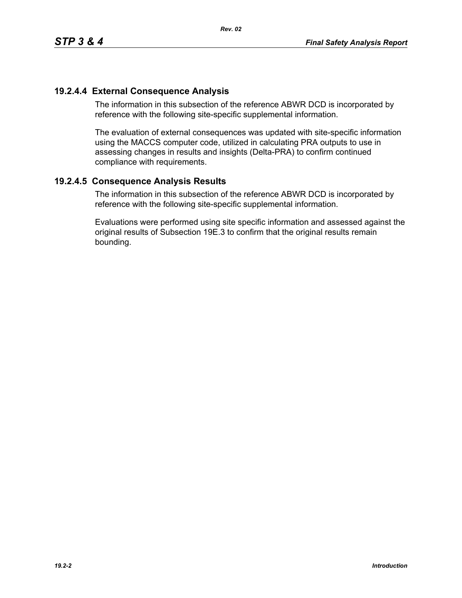# **19.2.4.4 External Consequence Analysis**

The information in this subsection of the reference ABWR DCD is incorporated by reference with the following site-specific supplemental information.

The evaluation of external consequences was updated with site-specific information using the MACCS computer code, utilized in calculating PRA outputs to use in assessing changes in results and insights (Delta-PRA) to confirm continued compliance with requirements.

# **19.2.4.5 Consequence Analysis Results**

The information in this subsection of the reference ABWR DCD is incorporated by reference with the following site-specific supplemental information.

Evaluations were performed using site specific information and assessed against the original results of Subsection 19E.3 to confirm that the original results remain bounding.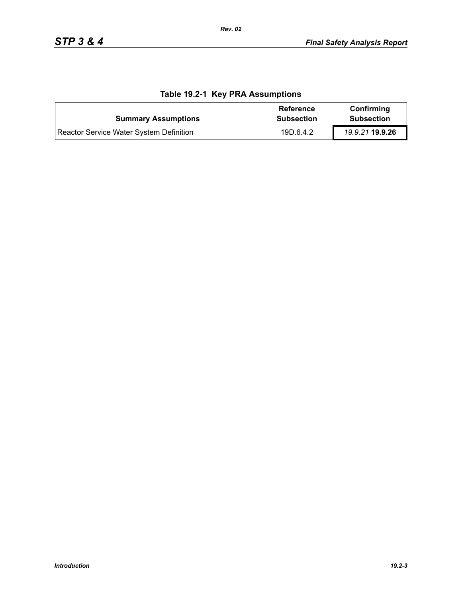| <b>Summary Assumptions</b>              | <b>Reference</b><br><b>Subsection</b> | Confirming<br><b>Subsection</b> |
|-----------------------------------------|---------------------------------------|---------------------------------|
| Reactor Service Water System Definition | 19D.6.4.2                             | <del>19.9.21</del> 19.9.26      |

# **Table 19.2-1 Key PRA Assumptions**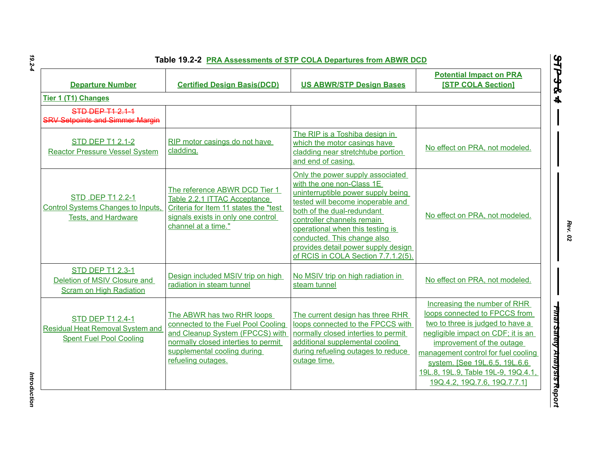| <b>Departure Number</b>                                                                              | <b>Certified Design Basis(DCD)</b>                                                                                                                                                              | <b>US ABWR/STP Design Bases</b>                                                                                                                                                                                                                                                                                                                       | <b>Potential Impact on PRA</b><br><b>[STP COLA Section]</b>                                                                                                                                                                                                                                                         |
|------------------------------------------------------------------------------------------------------|-------------------------------------------------------------------------------------------------------------------------------------------------------------------------------------------------|-------------------------------------------------------------------------------------------------------------------------------------------------------------------------------------------------------------------------------------------------------------------------------------------------------------------------------------------------------|---------------------------------------------------------------------------------------------------------------------------------------------------------------------------------------------------------------------------------------------------------------------------------------------------------------------|
| Tier 1 (T1) Changes                                                                                  |                                                                                                                                                                                                 |                                                                                                                                                                                                                                                                                                                                                       |                                                                                                                                                                                                                                                                                                                     |
| <b>STD DEP T1 2.1-1</b><br><b>SRV Setpoints and Simmer Margin</b>                                    |                                                                                                                                                                                                 |                                                                                                                                                                                                                                                                                                                                                       |                                                                                                                                                                                                                                                                                                                     |
| <b>STD DEP T1 2.1-2</b><br><b>Reactor Pressure Vessel System</b>                                     | RIP motor casings do not have<br>cladding.                                                                                                                                                      | The RIP is a Toshiba design in<br>which the motor casings have<br>cladding near stretchtube portion<br>and end of casing.                                                                                                                                                                                                                             | No effect on PRA, not modeled.                                                                                                                                                                                                                                                                                      |
| STD .DEP T1 2.2-1<br><b>Control Systems Changes to Inputs,</b><br><b>Tests, and Hardware</b>         | The reference ABWR DCD Tier 1<br>Table 2.2.1 ITTAC Acceptance<br>Criteria for Item 11 states the "test<br>signals exists in only one control<br>channel at a time."                             | Only the power supply associated<br>with the one non-Class 1E<br>uninterruptible power supply being<br>tested will become inoperable and<br>both of the dual-redundant<br>controller channels remain<br>operational when this testing is<br>conducted. This change also<br>provides detail power supply design<br>of RCIS in COLA Section 7.7.1.2(5). | No effect on PRA, not modeled.                                                                                                                                                                                                                                                                                      |
| <b>STD DEP T1 2.3-1</b><br>Deletion of MSIV Closure and<br><b>Scram on High Radiation</b>            | Design included MSIV trip on high<br>radiation in steam tunnel                                                                                                                                  | No MSIV trip on high radiation in<br>steam tunnel                                                                                                                                                                                                                                                                                                     | No effect on PRA, not modeled.                                                                                                                                                                                                                                                                                      |
| <b>STD DEP T1 2.4-1</b><br><b>Residual Heat Removal System and</b><br><b>Spent Fuel Pool Cooling</b> | The ABWR has two RHR loops<br>connected to the Fuel Pool Cooling<br>and Cleanup System (FPCCS) with<br>normally closed interties to permit<br>supplemental cooling during<br>refueling outages. | The current design has three RHR<br>loops connected to the FPCCS with<br>normally closed interties to permit<br>additional supplemental cooling<br>during refueling outages to reduce<br>outage time.                                                                                                                                                 | Increasing the number of RHR<br>loops connected to FPCCS from<br>two to three is judged to have a<br>negligible impact on CDF; it is an<br>improvement of the outage<br>management control for fuel cooling<br>system. [See 19L.6.5, 19L.6.6<br>19L.8, 19L.9, Table 19L-9, 19Q.4.1,<br>19Q.4.2, 19Q.7.6, 19Q.7.7.1] |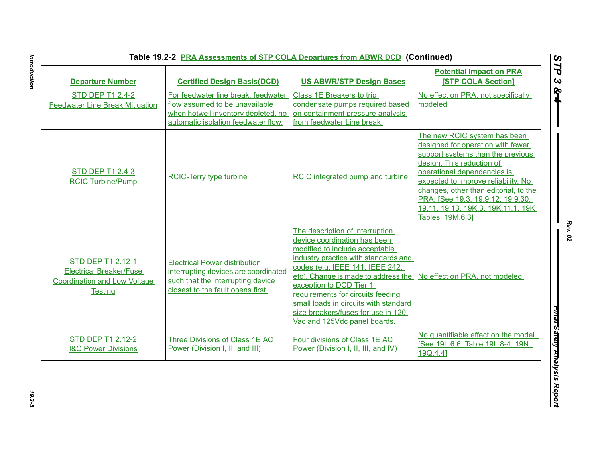| <b>Departure Number</b>                                                                                      | <b>Certified Design Basis(DCD)</b>                                                                                                                     | <b>US ABWR/STP Design Bases</b>                                                                                                                                                                                                                                                                                                                                                                    | <b>Potential Impact on PRA</b><br><b>[STP COLA Section]</b>                                                                                                                                                                                                                                                                                       |
|--------------------------------------------------------------------------------------------------------------|--------------------------------------------------------------------------------------------------------------------------------------------------------|----------------------------------------------------------------------------------------------------------------------------------------------------------------------------------------------------------------------------------------------------------------------------------------------------------------------------------------------------------------------------------------------------|---------------------------------------------------------------------------------------------------------------------------------------------------------------------------------------------------------------------------------------------------------------------------------------------------------------------------------------------------|
| <b>STD DEP T1 2.4-2</b><br><b>Feedwater Line Break Mitigation</b>                                            | For feedwater line break, feedwater<br>flow assumed to be unavailable<br>when hotwell inventory depleted, no<br>automatic isolation feedwater flow.    | Class 1E Breakers to trip<br>condensate pumps required based<br>on containment pressure analysis<br>from feedwater Line break.                                                                                                                                                                                                                                                                     | No effect on PRA, not specifically<br>modeled.                                                                                                                                                                                                                                                                                                    |
| <b>STD DEP T1 2.4-3</b><br><b>RCIC Turbine/Pump</b>                                                          | <b>RCIC-Terry type turbine</b>                                                                                                                         | RCIC integrated pump and turbine                                                                                                                                                                                                                                                                                                                                                                   | The new RCIC system has been<br>designed for operation with fewer<br>support systems than the previous<br>design. This reduction of<br>operational dependencies is<br>expected to improve reliability. No<br>changes, other than editorial, to the<br>PRA. [See 19.3, 19.9.12, 19.9.30,<br>19.11, 19.13, 19K.3, 19K.11.1, 19K<br>Tables, 19M.6.31 |
| STD DEP T1 2.12-1<br><b>Electrical Breaker/Fuse</b><br><b>Coordination and Low Voltage</b><br><b>Testing</b> | <b>Electrical Power distribution</b><br>interrupting devices are coordinated<br>such that the interrupting device<br>closest to the fault opens first. | The description of interruption<br>device coordination has been<br>modified to include acceptable<br>industry practice with standards and<br>codes (e.g. IEEE 141, IEEE 242,<br>etc). Change is made to address the<br>exception to DCD Tier 1<br>requirements for circuits feeding<br>small loads in circuits with standard<br>size breakers/fuses for use in 120<br>Vac and 125Vdc panel boards. | No effect on PRA, not modeled.                                                                                                                                                                                                                                                                                                                    |
| <b>STD DEP T1 2.12-2</b><br><b>I&amp;C Power Divisions</b>                                                   | Three Divisions of Class 1E AC<br>Power (Division I, II, and III)                                                                                      | Four divisions of Class 1E AC<br>Power (Division I, II, III, and IV)                                                                                                                                                                                                                                                                                                                               | No quantifiable effect on the model.<br>[See 19L.6.6, Table 19L.8-4, 19N,<br>19Q.4.41                                                                                                                                                                                                                                                             |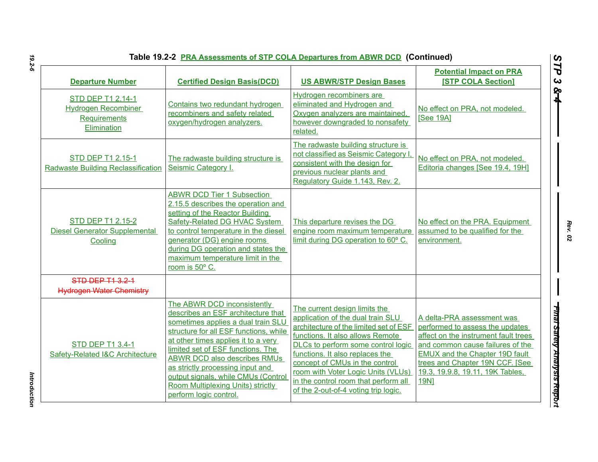| <b>Table 19.2-2 PRA Assessments of STP COLA Departures from ABWR DCD (Continued)</b>  |                                                                                                                                                                                                                                                                                                                                                                                                                       |                                                                                                                                                                                                                                                                                                                                                                                   |                                                                                                                                                                                                                                                                          |
|---------------------------------------------------------------------------------------|-----------------------------------------------------------------------------------------------------------------------------------------------------------------------------------------------------------------------------------------------------------------------------------------------------------------------------------------------------------------------------------------------------------------------|-----------------------------------------------------------------------------------------------------------------------------------------------------------------------------------------------------------------------------------------------------------------------------------------------------------------------------------------------------------------------------------|--------------------------------------------------------------------------------------------------------------------------------------------------------------------------------------------------------------------------------------------------------------------------|
| <b>Departure Number</b>                                                               | <b>Certified Design Basis(DCD)</b>                                                                                                                                                                                                                                                                                                                                                                                    | <b>US ABWR/STP Design Bases</b>                                                                                                                                                                                                                                                                                                                                                   | <b>Potential Impact on PRA</b><br><b>[STP COLA Section]</b>                                                                                                                                                                                                              |
| STD DEP T1 2.14-1<br><b>Hydrogen Recombiner</b><br><b>Requirements</b><br>Elimination | Contains two redundant hydrogen<br>recombiners and safety related<br>oxygen/hydrogen analyzers.                                                                                                                                                                                                                                                                                                                       | Hydrogen recombiners are<br>eliminated and Hydrogen and<br>Oxygen analyzers are maintained,<br>however downgraded to nonsafety<br>related.                                                                                                                                                                                                                                        | No effect on PRA, not modeled.<br>[See 19A]                                                                                                                                                                                                                              |
| <b>STD DEP T1 2.15-1</b><br>Radwaste Building Reclassification                        | The radwaste building structure is<br>Seismic Category I.                                                                                                                                                                                                                                                                                                                                                             | The radwaste building structure is<br>not classified as Seismic Category I<br>consistent with the design for<br>previous nuclear plants and<br>Regulatory Guide 1.143, Rev. 2.                                                                                                                                                                                                    | No effect on PRA, not modeled.<br>Editoria changes [See 19.4, 19H]                                                                                                                                                                                                       |
| <b>STD DEP T1 2.15-2</b><br><b>Diesel Generator Supplemental</b><br>Cooling           | <b>ABWR DCD Tier 1 Subsection</b><br>2.15.5 describes the operation and<br>setting of the Reactor Building<br><b>Safety-Related DG HVAC System</b><br>to control temperature in the diesel<br>generator (DG) engine rooms<br>during DG operation and states the<br>maximum temperature limit in the<br>room is 50° C.                                                                                                 | This departure revises the DG<br>engine room maximum temperature<br>limit during DG operation to 60° C.                                                                                                                                                                                                                                                                           | No effect on the PRA. Equipment<br>assumed to be qualified for the<br>environment.                                                                                                                                                                                       |
| STD DEP T1 3.2-1<br><b>Hydrogen Water Chemistry</b>                                   |                                                                                                                                                                                                                                                                                                                                                                                                                       |                                                                                                                                                                                                                                                                                                                                                                                   |                                                                                                                                                                                                                                                                          |
| <b>STD DEP T1 3.4-1</b><br>Safety-Related I&C Architecture                            | The ABWR DCD inconsistently<br>describes an ESF architecture that<br>sometimes applies a dual train SLU<br>structure for all ESF functions, while<br>at other times applies it to a very<br>limited set of ESF functions. The<br><b>ABWR DCD also describes RMUs</b><br>as strictly processing input and<br>output signals, while CMUs (Control<br><b>Room Multiplexing Units) strictly</b><br>perform logic control. | The current design limits the<br>application of the dual train SLU<br>architecture of the limited set of ESF<br>functions. It also allows Remote<br>DLCs to perform some control logic<br>functions. It also replaces the<br>concept of CMUs in the control<br>room with Voter Logic Units (VLUs)<br>in the control room that perform all<br>of the 2-out-of-4 voting trip logic. | A delta-PRA assessment was<br>performed to assess the updates<br>affect on the instrument fault trees<br>and common cause failures of the<br><b>EMUX and the Chapter 19D fault</b><br>trees and Chapter 19N CCF. [See<br>19.3, 19.9.8, 19.11, 19K Tables,<br><b>19N1</b> |

*Introduction* 

Introduction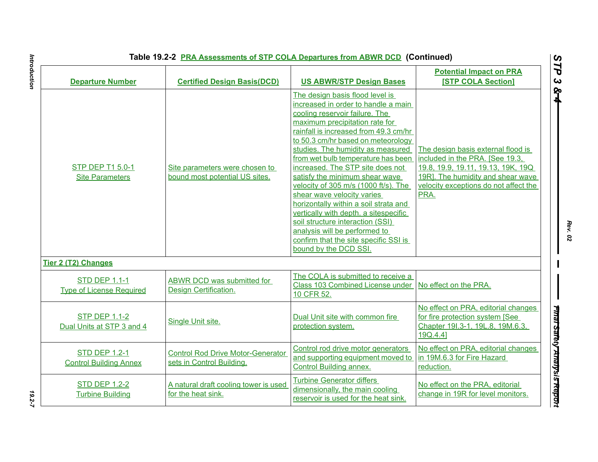|                                                         | Table 19.2-2 PRA Assessments of STP COLA Departures from ABWR DCD (Continued) |                                                                                                                                                                                                                                                                                                                                                                                                                                                                                                                                                                                                                                                                           |                                                                                                                                                                                                   |
|---------------------------------------------------------|-------------------------------------------------------------------------------|---------------------------------------------------------------------------------------------------------------------------------------------------------------------------------------------------------------------------------------------------------------------------------------------------------------------------------------------------------------------------------------------------------------------------------------------------------------------------------------------------------------------------------------------------------------------------------------------------------------------------------------------------------------------------|---------------------------------------------------------------------------------------------------------------------------------------------------------------------------------------------------|
| <b>Departure Number</b>                                 | <b>Certified Design Basis(DCD)</b>                                            | <b>US ABWR/STP Design Bases</b>                                                                                                                                                                                                                                                                                                                                                                                                                                                                                                                                                                                                                                           | <b>Potential Impact on PRA</b><br><b>[STP COLA Section]</b>                                                                                                                                       |
| <b>STP DEP T1 5.0-1</b><br><b>Site Parameters</b>       | Site parameters were chosen to<br>bound most potential US sites.              | The design basis flood level is<br>increased in order to handle a main<br>cooling reservoir failure. The<br>maximum precipitation rate for<br>rainfall is increased from 49.3 cm/hr<br>to 50.3 cm/hr based on meteorology<br>studies. The humidity as measured<br>from wet bulb temperature has been<br>increased. The STP site does not<br>satisfy the minimum shear wave<br>velocity of 305 m/s (1000 ft/s). The<br>shear wave velocity varies<br>horizontally within a soil strata and<br>vertically with depth. a sitespecific<br>soil structure interaction (SSI)<br>analysis will be performed to<br>confirm that the site specific SSI is<br>bound by the DCD SSI. | The design basis external flood is<br>included in the PRA. [See 19.3,<br>19.8, 19.9, 19.11, 19.13, 19K, 19Q<br>19R]. The humidity and shear wave<br>velocity exceptions do not affect the<br>PRA. |
| <b>Tier 2 (T2) Changes</b>                              |                                                                               |                                                                                                                                                                                                                                                                                                                                                                                                                                                                                                                                                                                                                                                                           |                                                                                                                                                                                                   |
| <b>STD DEP 1.1-1</b><br><b>Type of License Required</b> | ABWR DCD was submitted for<br>Design Certification.                           | The COLA is submitted to receive a<br>Class 103 Combined License under<br>10 CFR 52.                                                                                                                                                                                                                                                                                                                                                                                                                                                                                                                                                                                      | No effect on the PRA.                                                                                                                                                                             |
| <b>STP DEP 1.1-2</b><br>Dual Units at STP 3 and 4       | Single Unit site.                                                             | Dual Unit site with common fire<br>protection system.                                                                                                                                                                                                                                                                                                                                                                                                                                                                                                                                                                                                                     | No effect on PRA, editorial changes<br>for fire protection system [See<br>Chapter 191.3-1, 19L.8, 19M.6.3,<br>19Q.4.4]                                                                            |
| <b>STD DEP 1.2-1</b><br><b>Control Building Annex</b>   | <b>Control Rod Drive Motor-Generator</b><br>sets in Control Building.         | Control rod drive motor generators<br>and supporting equipment moved to<br><b>Control Building annex.</b>                                                                                                                                                                                                                                                                                                                                                                                                                                                                                                                                                                 | No effect on PRA, editorial changes<br>in 19M.6.3 for Fire Hazard<br>reduction.                                                                                                                   |
| <b>STD DEP 1.2-2</b><br><b>Turbine Building</b>         | A natural draft cooling tower is used<br>for the heat sink.                   | <b>Turbine Generator differs</b><br>dimensionally, the main cooling<br>reservoir is used for the heat sink.                                                                                                                                                                                                                                                                                                                                                                                                                                                                                                                                                               | No effect on the PRA, editorial<br>change in 19R for level monitors.                                                                                                                              |

# $19.2 - 7$

Introduction *Introduction 19.2-7*

*Rev. 02*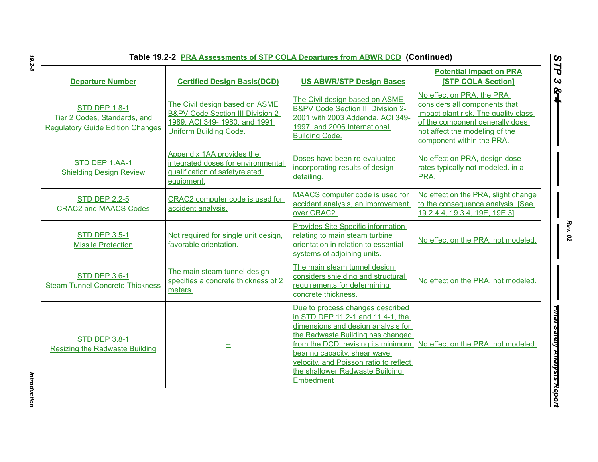| <b>Departure Number</b>                                                                         | <b>Certified Design Basis(DCD)</b>                                                                                                              | <b>US ABWR/STP Design Bases</b>                                                                                                                                                                                                                                                                                  | <b>Potential Impact on PRA</b><br><b>[STP COLA Section]</b>                                                                                                                                          |
|-------------------------------------------------------------------------------------------------|-------------------------------------------------------------------------------------------------------------------------------------------------|------------------------------------------------------------------------------------------------------------------------------------------------------------------------------------------------------------------------------------------------------------------------------------------------------------------|------------------------------------------------------------------------------------------------------------------------------------------------------------------------------------------------------|
| <b>STD DEP 1.8-1</b><br>Tier 2 Codes, Standards, and<br><b>Regulatory Guide Edition Changes</b> | The Civil design based on ASME<br><b>B&amp;PV Code Section III Division 2-</b><br>1989, ACI 349-1980, and 1991<br><b>Uniform Building Code.</b> | The Civil design based on ASME<br><b>B&amp;PV Code Section III Division 2-</b><br>2001 with 2003 Addenda, ACI 349-<br>1997, and 2006 International<br><b>Building Code.</b>                                                                                                                                      | No effect on PRA, the PRA<br>considers all components that<br>impact plant risk. The quality class<br>of the component generally does<br>not affect the modeling of the<br>component within the PRA. |
| STD DEP 1.AA-1<br><b>Shielding Design Review</b>                                                | Appendix 1AA provides the<br>integrated doses for environmental<br>qualification of safetyrelated<br>equipment.                                 | Doses have been re-evaluated<br>incorporating results of design<br>detailing.                                                                                                                                                                                                                                    | No effect on PRA, design dose<br>rates typically not modeled. in a<br>PRA.                                                                                                                           |
| <b>STD DEP 2.2-5</b><br><b>CRAC2 and MAACS Codes</b>                                            | CRAC2 computer code is used for<br>accident analysis.                                                                                           | MAACS computer code is used for<br>accident analysis, an improvement<br>over CRAC2.                                                                                                                                                                                                                              | No effect on the PRA, slight change<br>to the consequence analysis. [See<br>19.2.4.4, 19.3.4, 19E, 19E.3]                                                                                            |
| <b>STD DEP 3.5-1</b><br><b>Missile Protection</b>                                               | Not required for single unit design,<br>favorable orientation.                                                                                  | <b>Provides Site Specific information</b><br>relating to main steam turbine<br>orientation in relation to essential<br>systems of adjoining units.                                                                                                                                                               | No effect on the PRA, not modeled.                                                                                                                                                                   |
| <b>STD DEP 3.6-1</b><br><b>Steam Tunnel Concrete Thickness</b>                                  | The main steam tunnel design<br>specifies a concrete thickness of 2<br>meters.                                                                  | The main steam tunnel design<br>considers shielding and structural<br>requirements for determining<br>concrete thickness.                                                                                                                                                                                        | No effect on the PRA, not modeled.                                                                                                                                                                   |
| <b>STD DEP 3.8-1</b><br><b>Resizing the Radwaste Building</b>                                   |                                                                                                                                                 | Due to process changes described<br>in STD DEP 11.2-1 and 11.4-1, the<br>dimensions and design analysis for<br>the Radwaste Building has changed<br>from the DCD, revising its minimum<br>bearing capacity, shear wave<br>velocity, and Poisson ratio to reflect<br>the shallower Radwaste Building<br>Embedment | No effect on the PRA, not modeled.                                                                                                                                                                   |

*STP 3 & 4*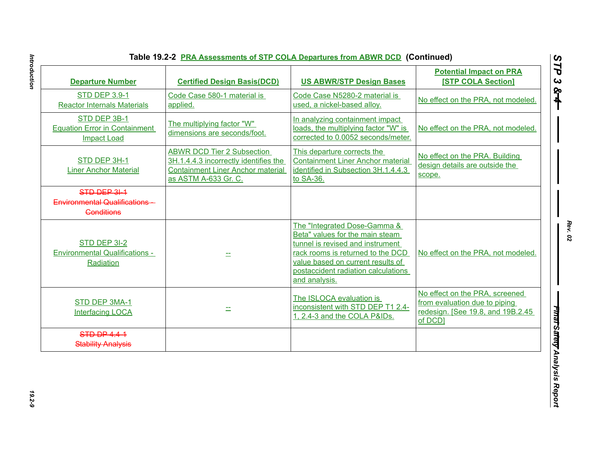| <b>Departure Number</b>                                                    | <b>Certified Design Basis(DCD)</b>                                                                                                             | <b>US ABWR/STP Design Bases</b>                                                                                                                                                                                                       | <b>Potential Impact on PRA</b><br><b>[STP COLA Section]</b>                                                     |
|----------------------------------------------------------------------------|------------------------------------------------------------------------------------------------------------------------------------------------|---------------------------------------------------------------------------------------------------------------------------------------------------------------------------------------------------------------------------------------|-----------------------------------------------------------------------------------------------------------------|
| <b>STD DEP 3.9-1</b><br><b>Reactor Internals Materials</b>                 | Code Case 580-1 material is<br>applied.                                                                                                        | Code Case N5280-2 material is<br>used, a nickel-based alloy.                                                                                                                                                                          | No effect on the PRA, not modeled.                                                                              |
| STD DEP 3B-1<br><b>Equation Error in Containment</b><br><b>Impact Load</b> | The multiplying factor "W"<br>dimensions are seconds/foot.                                                                                     | In analyzing containment impact<br>loads, the multiplying factor "W" is<br>corrected to 0.0052 seconds/meter.                                                                                                                         | No effect on the PRA, not modeled.                                                                              |
| STD DEP 3H-1<br><b>Liner Anchor Material</b>                               | <b>ABWR DCD Tier 2 Subsection</b><br>3H.1.4.4.3 incorrectly identifies the<br><b>Containment Liner Anchor material</b><br>as ASTM A-633 Gr. C. | This departure corrects the<br><b>Containment Liner Anchor material</b><br>identified in Subsection 3H.1.4.4.3<br>to SA-36.                                                                                                           | No effect on the PRA. Building<br>design details are outside the<br>scope.                                      |
| STD DEP 31-1<br>Environmental Qualifications -<br><b>Gonditions</b>        |                                                                                                                                                |                                                                                                                                                                                                                                       |                                                                                                                 |
| STD DEP 3I-2<br><b>Environmental Qualifications -</b><br>Radiation         |                                                                                                                                                | The "Integrated Dose-Gamma &<br>Beta" values for the main steam<br>tunnel is revised and instrument<br>rack rooms is returned to the DCD<br>value based on current results of<br>postaccident radiation calculations<br>and analysis. | No effect on the PRA, not modeled.                                                                              |
| STD DEP 3MA-1<br><b>Interfacing LOCA</b>                                   |                                                                                                                                                | The ISLOCA evaluation is<br>inconsistent with STD DEP T1 2.4-<br>1, 2.4-3 and the COLA P&IDs.                                                                                                                                         | No effect on the PRA, screened<br>from evaluation due to piping<br>redesign. [See 19.8, and 19B.2.45<br>of DCD] |
| <b>STD DP 4.4-1</b><br><b>Stability Analysis</b>                           |                                                                                                                                                |                                                                                                                                                                                                                                       |                                                                                                                 |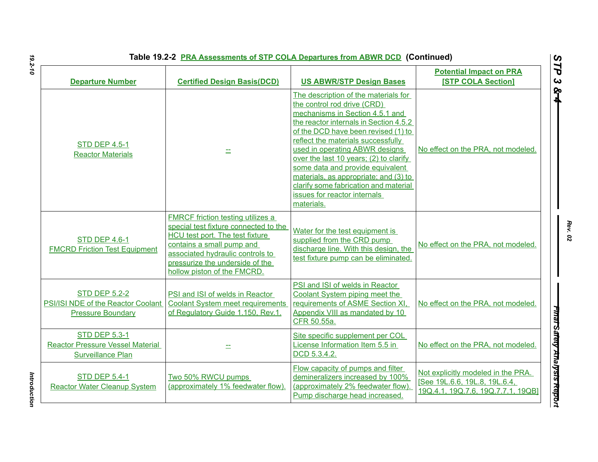| Table 19.2-2 PRA Assessments of STP COLA Departures from ABWR DCD (Continued) |  |
|-------------------------------------------------------------------------------|--|
|-------------------------------------------------------------------------------|--|

| <b>Table 19.2-2 PRA Assessments of STP COLA Departures from ABWR DCD (Continued)</b>        |                                                                                                                                                                                                                                                  |                                                                                                                                                                                                                                                                                                                                                                                                                                                                               |                                                                                                           |
|---------------------------------------------------------------------------------------------|--------------------------------------------------------------------------------------------------------------------------------------------------------------------------------------------------------------------------------------------------|-------------------------------------------------------------------------------------------------------------------------------------------------------------------------------------------------------------------------------------------------------------------------------------------------------------------------------------------------------------------------------------------------------------------------------------------------------------------------------|-----------------------------------------------------------------------------------------------------------|
| <b>Departure Number</b>                                                                     | <b>Certified Design Basis(DCD)</b>                                                                                                                                                                                                               | <b>US ABWR/STP Design Bases</b>                                                                                                                                                                                                                                                                                                                                                                                                                                               | <b>Potential Impact on PRA</b><br><b>[STP COLA Section]</b>                                               |
| <b>STD DEP 4.5-1</b><br><b>Reactor Materials</b>                                            | 士                                                                                                                                                                                                                                                | The description of the materials for<br>the control rod drive (CRD)<br>mechanisms in Section 4.5.1 and<br>the reactor internals in Section 4.5.2<br>of the DCD have been revised (1) to<br>reflect the materials successfully<br>used in operating ABWR designs<br>over the last 10 years; (2) to clarify<br>some data and provide equivalent<br>materials, as appropriate; and (3) to<br>clarify some fabrication and material<br>issues for reactor internals<br>materials. | No effect on the PRA, not modeled.                                                                        |
| <b>STD DEP 4.6-1</b><br><b>FMCRD Friction Test Equipment</b>                                | FMRCF friction testing utilizes a<br>special test fixture connected to the<br>HCU test port. The test fixture<br>contains a small pump and<br>associated hydraulic controls to<br>pressurize the underside of the<br>hollow piston of the FMCRD. | Water for the test equipment is<br>supplied from the CRD pump<br>discharge line. With this design, the<br>test fixture pump can be eliminated.                                                                                                                                                                                                                                                                                                                                | No effect on the PRA, not modeled.                                                                        |
| <b>STD DEP 5.2-2</b><br>PSI/ISI NDE of the Reactor Coolant<br><b>Pressure Boundary</b>      | PSI and ISI of welds in Reactor<br><b>Coolant System meet requirements</b><br>of Regulatory Guide 1.150, Rev.1.                                                                                                                                  | PSI and ISI of welds in Reactor<br>Coolant System piping meet the<br>requirements of ASME Section XI,<br>Appendix VIII as mandated by 10<br>CFR 50.55a.                                                                                                                                                                                                                                                                                                                       | No effect on the PRA, not modeled.                                                                        |
| <b>STD DEP 5.3-1</b><br><b>Reactor Pressure Vessel Material</b><br><b>Surveillance Plan</b> |                                                                                                                                                                                                                                                  | Site specific supplement per COL<br>License Information Item 5.5 in<br>DCD 5.3.4.2.                                                                                                                                                                                                                                                                                                                                                                                           | No effect on the PRA, not modeled.                                                                        |
| <b>STD DEP 5.4-1</b><br><b>Reactor Water Cleanup System</b>                                 | Two 50% RWCU pumps<br>(approximately 1% feedwater flow).                                                                                                                                                                                         | Flow capacity of pumps and filter<br>demineralizers increased by 100%<br>(approximately 2% feedwater flow).<br>Pump discharge head increased.                                                                                                                                                                                                                                                                                                                                 | Not explicitly modeled in the PRA.<br>[See 19L.6.6, 19L.8, 19L.6.4,<br>19Q.4.1, 19Q.7.6, 19Q.7.7.1, 19QB] |

*Introduction* 

Introduction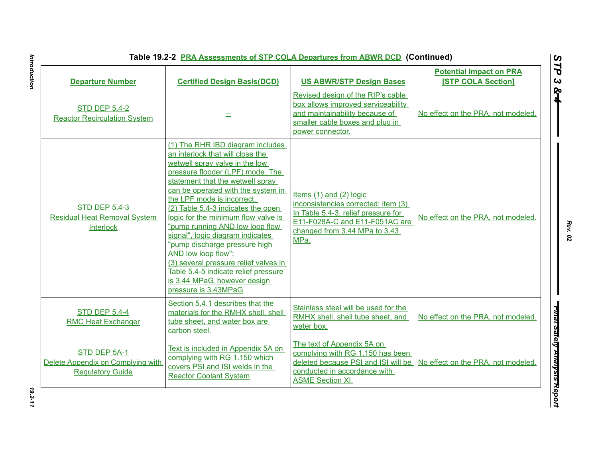|  | Table 19.2-2 PRA Assessments of STP COLA Departures from ABWR DCD (Continued) |  |
|--|-------------------------------------------------------------------------------|--|
|--|-------------------------------------------------------------------------------|--|

| <b>Departure Number</b>                                                      | <b>Certified Design Basis(DCD)</b>                                                                                                                                                                                                                                                                                                                                                                                                                                                                                                                                                                      | <b>US ABWR/STP Design Bases</b>                                                                                                                                                      | <b>Potential Impact on PRA</b><br><b>[STP COLA Section]</b> |
|------------------------------------------------------------------------------|---------------------------------------------------------------------------------------------------------------------------------------------------------------------------------------------------------------------------------------------------------------------------------------------------------------------------------------------------------------------------------------------------------------------------------------------------------------------------------------------------------------------------------------------------------------------------------------------------------|--------------------------------------------------------------------------------------------------------------------------------------------------------------------------------------|-------------------------------------------------------------|
| <b>STD DEP 5.4-2</b><br><b>Reactor Recirculation System</b>                  |                                                                                                                                                                                                                                                                                                                                                                                                                                                                                                                                                                                                         | Revised design of the RIP's cable<br>box allows improved serviceability<br>and maintainability because of<br>smaller cable boxes and plug in<br>power connector.                     | No effect on the PRA, not modeled.                          |
| <b>STD DEP 5.4-3</b><br><b>Residual Heat Removal System</b><br>Interlock     | (1) The RHR IBD diagram includes<br>an interlock that will close the<br>wetwell spray valve in the low<br>pressure flooder (LPF) mode. The<br>statement that the wetwell spray<br>can be operated with the system in<br>the LPF mode is incorrect.<br>(2) Table 5.4-3 indicates the open<br>logic for the minimum flow valve is<br>"pump running AND low loop flow<br>signal", logic diagram indicates<br>"pump discharge pressure high<br>AND low loop flow";<br>(3) several pressure relief valves in<br>Table 5.4-5 indicate relief pressure<br>is 3.44 MPaG, however design<br>pressure is 3.43MPaG | Items $(1)$ and $(2)$ logic<br>inconsistencies corrected; item (3)<br>In Table 5.4-3, relief pressure for<br>E11-F028A-C and E11-F051AC are<br>changed from 3.44 MPa to 3.43<br>MPa. | No effect on the PRA, not modeled.                          |
| <b>STD DEP 5.4-4</b><br><b>RMC Heat Exchanger</b>                            | Section 5.4.1 describes that the<br>materials for the RMHX shell, shell<br>tube sheet, and water box are<br>carbon steel.                                                                                                                                                                                                                                                                                                                                                                                                                                                                               | Stainless steel will be used for the<br>RMHX shell, shell tube sheet, and<br>water box.                                                                                              | No effect on the PRA, not modeled.                          |
| STD DEP 5A-1<br>Delete Appendix on Complying with<br><b>Regulatory Guide</b> | Text is included in Appendix 5A on<br>complying with RG 1.150 which<br>covers PSI and ISI welds in the<br><b>Reactor Coolant System</b>                                                                                                                                                                                                                                                                                                                                                                                                                                                                 | The text of Appendix 5A on<br>complying with RG 1.150 has been<br>deleted because PSI and ISI will be<br>conducted in accordance with<br><b>ASME Section XI.</b>                     | No effect on the PRA, not modeled.                          |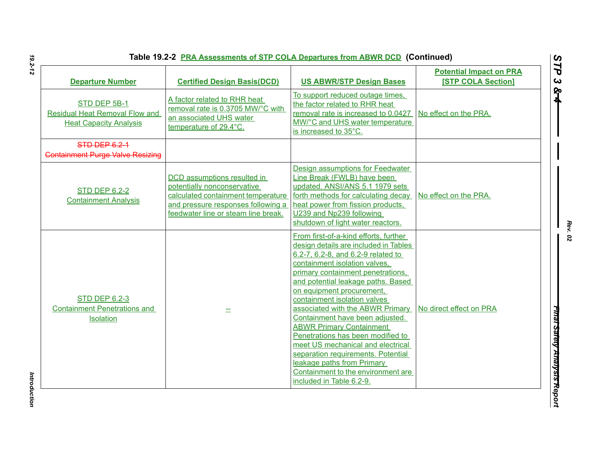| <b>Departure Number</b>                                                                | <b>Certified Design Basis(DCD)</b>                                                                                                                                            | <b>US ABWR/STP Design Bases</b>                                                                                                                                                                                                                                                                                                                                                                                                                                                                                                                                                                                         | <b>Potential Impact on PRA</b><br><b>[STP COLA Section]</b> |
|----------------------------------------------------------------------------------------|-------------------------------------------------------------------------------------------------------------------------------------------------------------------------------|-------------------------------------------------------------------------------------------------------------------------------------------------------------------------------------------------------------------------------------------------------------------------------------------------------------------------------------------------------------------------------------------------------------------------------------------------------------------------------------------------------------------------------------------------------------------------------------------------------------------------|-------------------------------------------------------------|
| STD DEP 5B-1<br><b>Residual Heat Removal Flow and</b><br><b>Heat Capacity Analysis</b> | A factor related to RHR heat<br>removal rate is 0.3705 MW/°C with<br>an associated UHS water<br>temperature of 29.4°C.                                                        | To support reduced outage times,<br>the factor related to RHR heat<br>removal rate is increased to 0.0427<br>MW/°C and UHS water temperature<br>is increased to 35°C.                                                                                                                                                                                                                                                                                                                                                                                                                                                   | No effect on the PRA.                                       |
| STD DEP 6.2-1<br><b>Containment Purge Valve Resizing</b>                               |                                                                                                                                                                               |                                                                                                                                                                                                                                                                                                                                                                                                                                                                                                                                                                                                                         |                                                             |
| <b>STD DEP 6.2-2</b><br><b>Containment Analysis</b>                                    | DCD assumptions resulted in<br>potentially nonconservative<br>calculated containment temperature<br>and pressure responses following a<br>feedwater line or steam line break. | Design assumptions for Feedwater<br>Line Break (FWLB) have been<br>updated. ANSI/ANS 5.1 1979 sets<br>forth methods for calculating decay<br>heat power from fission products.<br>U239 and Np239 following<br>shutdown of light water reactors.                                                                                                                                                                                                                                                                                                                                                                         | No effect on the PRA.                                       |
| <b>STD DEP 6.2-3</b><br><b>Containment Penetrations and</b><br><b>Isolation</b>        |                                                                                                                                                                               | From first-of-a-kind efforts, further<br>design details are included in Tables<br>6.2-7, 6.2-8, and 6.2-9 related to<br>containment isolation valves,<br>primary containment penetrations,<br>and potential leakage paths. Based<br>on equipment procurement,<br>containment isolation valves<br>associated with the ABWR Primary<br>Containment have been adjusted.<br><b>ABWR Primary Containment</b><br>Penetrations has been modified to<br>meet US mechanical and electrical<br>separation requirements. Potential<br>leakage paths from Primary<br>Containment to the environment are<br>included in Table 6.2-9. | No direct effect on PRA                                     |

*Rev. 02*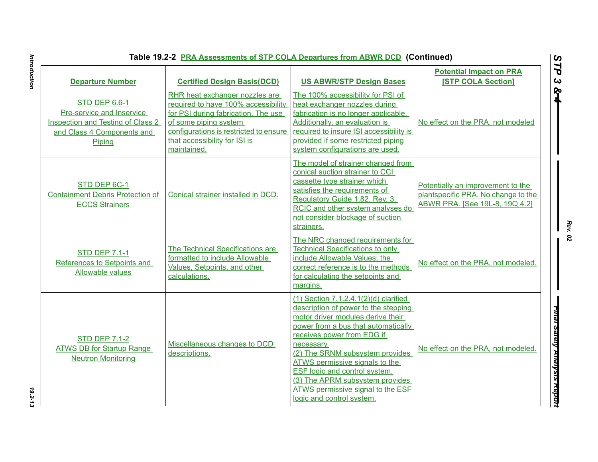| Table 19.2-2 PRA Assessments of STP COLA Departures from ABWR DCD (Continued) |  |
|-------------------------------------------------------------------------------|--|
|                                                                               |  |

| Table 19.2-2 PRA Assessments of STP COLA Departures from ABWR DCD (Continued)                                                         |                                                                                                                                                                                                                                 |                                                                                                                                                                                                                                                                                                                                                                                                                              |                                                                                                            |  |
|---------------------------------------------------------------------------------------------------------------------------------------|---------------------------------------------------------------------------------------------------------------------------------------------------------------------------------------------------------------------------------|------------------------------------------------------------------------------------------------------------------------------------------------------------------------------------------------------------------------------------------------------------------------------------------------------------------------------------------------------------------------------------------------------------------------------|------------------------------------------------------------------------------------------------------------|--|
| <b>Departure Number</b>                                                                                                               | <b>Certified Design Basis(DCD)</b>                                                                                                                                                                                              | <b>US ABWR/STP Design Bases</b>                                                                                                                                                                                                                                                                                                                                                                                              | <b>Potential Impact on PRA</b><br><b>[STP COLA Section]</b>                                                |  |
| <b>STD DEP 6.6-1</b><br>Pre-service and Inservice<br><b>Inspection and Testing of Class 2</b><br>and Class 4 Components and<br>Piping | RHR heat exchanger nozzles are<br>required to have 100% accessibility<br>for PSI during fabrication. The use<br>of some piping system<br>configurations is restricted to ensure<br>that accessibility for ISI is<br>maintained. | The 100% accessibility for PSI of<br>heat exchanger nozzles during<br>fabrication is no longer applicable.<br>Additionally, an evaluation is<br>required to insure ISI accessibility is<br>provided if some restricted piping<br>system configurations are used.                                                                                                                                                             | No effect on the PRA, not modeled                                                                          |  |
| STD DEP 6C-1<br><b>Containment Debris Protection of</b><br><b>ECCS Strainers</b>                                                      | Conical strainer installed in DCD.                                                                                                                                                                                              | The model of strainer changed from<br>conical suction strainer to CCI<br>cassette type strainer which<br>satisfies the requirements of<br>Regulatory Guide 1.82, Rev. 3.<br>RCIC and other system analyses do<br>not consider blockage of suction<br>strainers.                                                                                                                                                              | Potentially an improvement to the<br>plantspecific PRA. No change to the<br>ABWR PRA. [See 19L-8, 19Q.4.2] |  |
| <b>STD DEP 7.1-1</b><br>References to Setpoints and<br>Allowable values                                                               | The Technical Specifications are<br>formatted to include Allowable<br>Values, Setpoints, and other<br>calculations.                                                                                                             | The NRC changed requirements for<br><b>Technical Specifications to only</b><br>include Allowable Values; the<br>correct reference is to the methods<br>for calculating the setpoints and<br>margins.                                                                                                                                                                                                                         | No effect on the PRA, not modeled.                                                                         |  |
| <b>STD DEP 7.1-2</b><br><b>ATWS DB for Startup Range</b><br><b>Neutron Monitoring</b>                                                 | Miscellaneous changes to DCD<br>descriptions.                                                                                                                                                                                   | $(1)$ Section 7.1.2.4.1 $(2)(d)$ clarified<br>description of power to the stepping<br>motor driver modules derive their<br>power from a bus that automatically<br>receives power from EDG if<br>necessary.<br>(2) The SRNM subsystem provides<br>ATWS permissive signals to the<br><b>ESF</b> logic and control system.<br>(3) The APRM subsystem provides<br>ATWS permissive signal to the ESF<br>logic and control system. | No effect on the PRA, not modeled.                                                                         |  |

*Rev. 02*

*STP 3 & 4*

 $\frac{1}{19.2 \cdot 13}$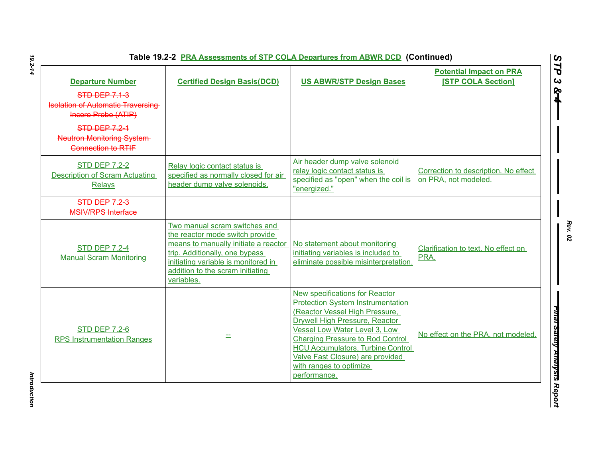| Table 19.2-2 PRA Assessments of STP COLA Departures from ABWR DCD (Continued) |  |
|-------------------------------------------------------------------------------|--|
|                                                                               |  |

| <b>Departure Number</b>                                                                 | <b>Certified Design Basis(DCD)</b>                                                                                                                                                                                                  | <b>US ABWR/STP Design Bases</b>                                                                                                                                                                                                                                                                                                                       | <b>Potential Impact on PRA</b><br><b>[STP COLA Section]</b>  |
|-----------------------------------------------------------------------------------------|-------------------------------------------------------------------------------------------------------------------------------------------------------------------------------------------------------------------------------------|-------------------------------------------------------------------------------------------------------------------------------------------------------------------------------------------------------------------------------------------------------------------------------------------------------------------------------------------------------|--------------------------------------------------------------|
| <b>STD DEP 7.1-3</b><br><b>Isolation of Automatic Traversing</b><br>Incore Probe (ATIP) |                                                                                                                                                                                                                                     |                                                                                                                                                                                                                                                                                                                                                       |                                                              |
| <b>STD DEP 7.2-1</b><br><b>Neutron Monitoring System-</b><br><b>Connection to RTIF</b>  |                                                                                                                                                                                                                                     |                                                                                                                                                                                                                                                                                                                                                       |                                                              |
| <b>STD DEP 7.2-2</b><br><b>Description of Scram Actuating</b><br>Relays                 | Relay logic contact status is<br>specified as normally closed for air<br>header dump valve solenoids.                                                                                                                               | Air header dump valve solenoid<br>relay logic contact status is<br>specified as "open" when the coil is<br>"energized."                                                                                                                                                                                                                               | Correction to description. No effect<br>on PRA, not modeled. |
| <b>STD DEP 7.2-3</b><br><b>MSIV/RPS Interface</b>                                       |                                                                                                                                                                                                                                     |                                                                                                                                                                                                                                                                                                                                                       |                                                              |
| <b>STD DEP 7.2-4</b><br><b>Manual Scram Monitoring</b>                                  | Two manual scram switches and<br>the reactor mode switch provide<br>means to manually initiate a reactor<br>trip. Additionally, one bypass<br>initiating variable is monitored in<br>addition to the scram initiating<br>variables. | No statement about monitoring<br>initiating variables is included to<br>eliminate possible misinterpretation.                                                                                                                                                                                                                                         | Clarification to text. No effect on<br>PRA.                  |
| <b>STD DEP 7.2-6</b><br><b>RPS Instrumentation Ranges</b>                               |                                                                                                                                                                                                                                     | New specifications for Reactor<br><b>Protection System Instrumentation</b><br>(Reactor Vessel High Pressure,<br>Drywell High Pressure, Reactor<br>Vessel Low Water Level 3, Low<br><b>Charging Pressure to Rod Control</b><br><b>HCU Accumulators, Turbine Control</b><br>Valve Fast Closure) are provided<br>with ranges to optimize<br>performance. | No effect on the PRA, not modeled.                           |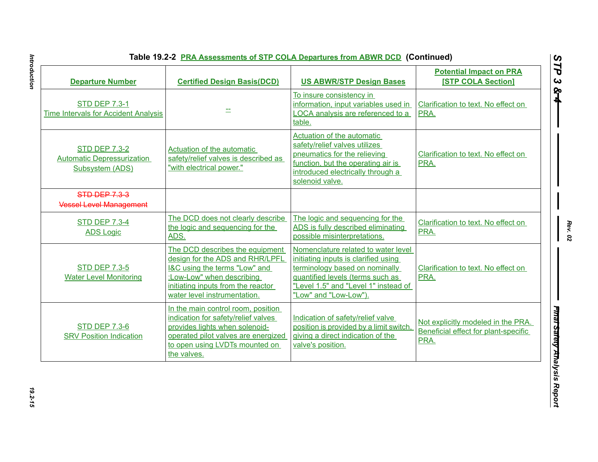| Table 19.2-2 PRA Assessments of STP COLA Departures from ABWR DCD (Continued |  |
|------------------------------------------------------------------------------|--|
|------------------------------------------------------------------------------|--|

| <b>Departure Number</b>                                                      | <b>Certified Design Basis(DCD)</b>                                                                                                                                                                     | <b>US ABWR/STP Design Bases</b>                                                                                                                                                                                    | <b>Potential Impact on PRA</b><br><b>[STP COLA Section]</b>                        |
|------------------------------------------------------------------------------|--------------------------------------------------------------------------------------------------------------------------------------------------------------------------------------------------------|--------------------------------------------------------------------------------------------------------------------------------------------------------------------------------------------------------------------|------------------------------------------------------------------------------------|
| <b>STD DEP 7.3-1</b><br><b>Time Intervals for Accident Analysis</b>          |                                                                                                                                                                                                        | To insure consistency in<br>information, input variables used in<br>LOCA analysis are referenced to a<br>table.                                                                                                    | Clarification to text. No effect on<br>PRA.                                        |
| <b>STD DEP 7.3-2</b><br><b>Automatic Depressurization</b><br>Subsystem (ADS) | Actuation of the automatic<br>safety/relief valves is described as<br>"with electrical power."                                                                                                         | <b>Actuation of the automatic</b><br>safety/relief valves utilizes<br>pneumatics for the relieving<br>function, but the operating air is<br>introduced electrically through a<br>solenoid valve.                   | Clarification to text. No effect on<br>PRA.                                        |
| <b>STD DEP 7.3-3</b><br><b>Vessel Level Management</b>                       |                                                                                                                                                                                                        |                                                                                                                                                                                                                    |                                                                                    |
| <b>STD DEP 7.3-4</b><br><b>ADS Logic</b>                                     | The DCD does not clearly describe<br>the logic and sequencing for the<br>ADS.                                                                                                                          | The logic and sequencing for the<br>ADS is fully described eliminating<br>possible misinterpretations.                                                                                                             | Clarification to text. No effect on<br>PRA.                                        |
| <b>STD DEP 7.3-5</b><br><b>Water Level Monitoring</b>                        | The DCD describes the equipment<br>design for the ADS and RHR/LPFL<br>I&C using the terms "Low" and<br>:Low-Low" when describing<br>initiating inputs from the reactor<br>water level instrumentation. | Nomenclature related to water level<br>initiating inputs is clarified using<br>terminology based on nominally<br>quantified levels (terms such as<br>"Level 1.5" and "Level 1" instead of<br>"Low" and "Low-Low"). | Clarification to text. No effect on<br>PRA.                                        |
| <b>STD DEP 7.3-6</b><br><b>SRV Position Indication</b>                       | In the main control room, position<br>indication for safety/relief valves<br>provides lights when solenoid-<br>operated pilot valves are energized<br>to open using LVDTs mounted on<br>the valves.    | Indication of safety/relief valve<br>position is provided by a limit switch,<br>giving a direct indication of the<br>valve's position.                                                                             | Not explicitly modeled in the PRA.<br>Beneficial effect for plant-specific<br>PRA. |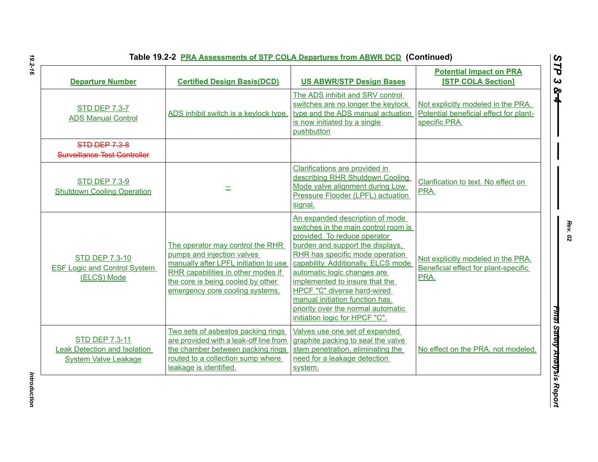| <b>Departure Number</b>                                                                     | <b>Certified Design Basis(DCD)</b>                                                                                                                                                                                    | <b>US ABWR/STP Design Bases</b>                                                                                                                                                                                                                                                                                                                                                                                                 | <b>Potential Impact on PRA</b><br><b>[STP COLA Section]</b>                                   |
|---------------------------------------------------------------------------------------------|-----------------------------------------------------------------------------------------------------------------------------------------------------------------------------------------------------------------------|---------------------------------------------------------------------------------------------------------------------------------------------------------------------------------------------------------------------------------------------------------------------------------------------------------------------------------------------------------------------------------------------------------------------------------|-----------------------------------------------------------------------------------------------|
| <b>STD DEP 7.3-7</b><br><b>ADS Manual Control</b>                                           | ADS inhibit switch is a keylock type.                                                                                                                                                                                 | The ADS inhibit and SRV control<br>switches are no longer the keylock<br>type and the ADS manual actuation<br>is now initiated by a single<br>pushbutton                                                                                                                                                                                                                                                                        | Not explicitly modeled in the PRA.<br>Potential beneficial effect for plant-<br>specific PRA. |
| <b>STD DEP 7.3-8</b><br>Surveillance Test Controller                                        |                                                                                                                                                                                                                       |                                                                                                                                                                                                                                                                                                                                                                                                                                 |                                                                                               |
| <b>STD DEP 7.3-9</b><br><b>Shutdown Cooling Operation</b>                                   |                                                                                                                                                                                                                       | Clarifications are provided in<br>describing RHR Shutdown Cooling<br>Mode valve alignment during Low<br>Pressure Flooder (LPFL) actuation<br>signal.                                                                                                                                                                                                                                                                            | Clarification to text. No effect on<br>PRA.                                                   |
| <b>STD DEP 7.3-10</b><br><b>ESF Logic and Control System</b><br>(ELCS) Mode                 | The operator may control the RHR<br>pumps and injection valves<br>manually after LPFL initiation to use<br>RHR capabilities in other modes if<br>the core is being cooled by other<br>emergency core cooling systems. | An expanded description of mode<br>switches in the main control room is<br>provided. To reduce operator<br>burden and support the displays,<br>RHR has specific mode operation<br>capability. Additionally, ELCS mode<br>automatic logic changes are<br>implemented to insure that the<br>HPCF "C" diverse hard-wired<br>manual initiation function has<br>priority over the normal automatic<br>initiation logic for HPCF "C". | Not explicitly modeled in the PRA.<br>Beneficial effect for plant-specific<br>PRA.            |
| <b>STD DEP 7.3-11</b><br><b>Leak Detection and Isolation</b><br><b>System Valve Leakage</b> | Two sets of asbestos packing rings<br>are provided with a leak-off line from<br>the chamber between packing rings<br>routed to a collection sump where<br>leakage is identified.                                      | Valves use one set of expanded<br>graphite packing to seal the valve<br>stem penetration, eliminating the<br>need for a leakage detection<br>system.                                                                                                                                                                                                                                                                            | No effect on the PRA, not modeled.                                                            |

*Rev. 02*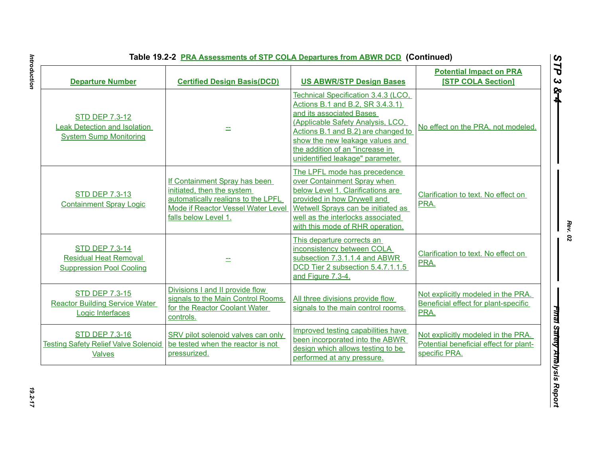| <b>Departure Number</b>                                                                       | <b>Certified Design Basis(DCD)</b>                                                                                                                              | <b>US ABWR/STP Design Bases</b>                                                                                                                                                                                                                                                           | <b>Potential Impact on PRA</b><br><b>[STP COLA Section]</b>                                   |
|-----------------------------------------------------------------------------------------------|-----------------------------------------------------------------------------------------------------------------------------------------------------------------|-------------------------------------------------------------------------------------------------------------------------------------------------------------------------------------------------------------------------------------------------------------------------------------------|-----------------------------------------------------------------------------------------------|
| <b>STD DEP 7.3-12</b><br><b>Leak Detection and Isolation</b><br><b>System Sump Monitoring</b> |                                                                                                                                                                 | Technical Specification 3.4.3 (LCO,<br>Actions B.1 and B.2, SR 3.4.3.1)<br>and its associated Bases<br>(Applicable Safety Analysis, LCO,<br>Actions B.1 and B.2) are changed to<br>show the new leakage values and<br>the addition of an "increase in<br>unidentified leakage" parameter. | No effect on the PRA, not modeled.                                                            |
| <b>STD DEP 7.3-13</b><br><b>Containment Spray Logic</b>                                       | If Containment Spray has been<br>initiated, then the system<br>automatically realigns to the LPFL<br>Mode if Reactor Vessel Water Level<br>falls below Level 1. | The LPFL mode has precedence<br>over Containment Spray when<br>below Level 1. Clarifications are<br>provided in how Drywell and<br>Wetwell Sprays can be initiated as<br>well as the interlocks associated<br>with this mode of RHR operation.                                            | Clarification to text. No effect on<br>PRA.                                                   |
| <b>STD DEP 7.3-14</b><br><b>Residual Heat Removal</b><br><b>Suppression Pool Cooling</b>      |                                                                                                                                                                 | This departure corrects an<br>inconsistency between COLA<br>subsection 7.3.1.1.4 and ABWR<br>DCD Tier 2 subsection 5.4.7.1.1.5<br>and Figure 7.3-4.                                                                                                                                       | Clarification to text. No effect on<br>PRA.                                                   |
| <b>STD DEP 7.3-15</b><br><b>Reactor Building Service Water</b><br>Logic Interfaces            | Divisions I and II provide flow<br>signals to the Main Control Rooms<br>for the Reactor Coolant Water<br>controls.                                              | All three divisions provide flow<br>signals to the main control rooms.                                                                                                                                                                                                                    | Not explicitly modeled in the PRA.<br>Beneficial effect for plant-specific<br>PRA.            |
| <b>STD DEP 7.3-16</b><br><b>Testing Safety Relief Valve Solenoid</b><br><b>Valves</b>         | SRV pilot solenoid valves can only<br>be tested when the reactor is not<br>pressurized.                                                                         | Improved testing capabilities have<br>been incorporated into the ABWR<br>design which allows testing to be<br>performed at any pressure.                                                                                                                                                  | Not explicitly modeled in the PRA.<br>Potential beneficial effect for plant-<br>specific PRA. |

Introduction *Introduction 19.2-17*

*Rev. 02*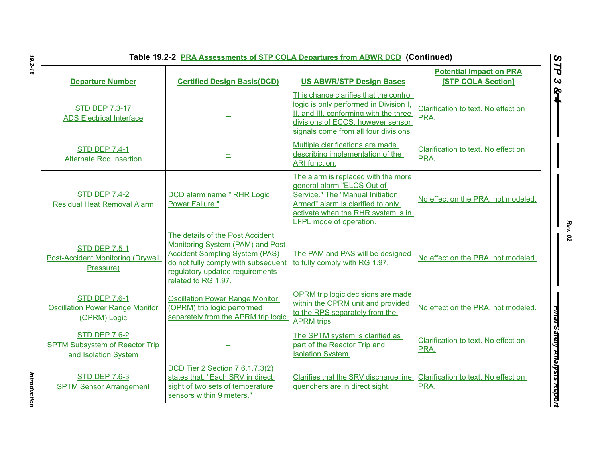| Table 19.2-2 PRA Assessments of STP COLA Departures from ABWR DCD (Continued) |  |
|-------------------------------------------------------------------------------|--|
|-------------------------------------------------------------------------------|--|

| Table 19.2-2 <b>PRA Assessments of STP COLA Departures from ABWR DCD</b> (Continued)  |                                                                                                                                                                                                                |                                                                                                                                                                                                                    |                                                             |
|---------------------------------------------------------------------------------------|----------------------------------------------------------------------------------------------------------------------------------------------------------------------------------------------------------------|--------------------------------------------------------------------------------------------------------------------------------------------------------------------------------------------------------------------|-------------------------------------------------------------|
| <b>Departure Number</b>                                                               | <b>Certified Design Basis(DCD)</b>                                                                                                                                                                             | <b>US ABWR/STP Design Bases</b>                                                                                                                                                                                    | <b>Potential Impact on PRA</b><br><b>[STP COLA Section]</b> |
| <b>STD DEP 7.3-17</b><br><b>ADS Electrical Interface</b>                              |                                                                                                                                                                                                                | This change clarifies that the control<br>logic is only performed in Division I<br>II, and III, conforming with the three<br>divisions of ECCS, however sensor<br>signals come from all four divisions             | Clarification to text. No effect on<br>PRA.                 |
| <b>STD DEP 7.4-1</b><br><b>Alternate Rod Insertion</b>                                |                                                                                                                                                                                                                | Multiple clarifications are made<br>describing implementation of the<br>ARI function.                                                                                                                              | Clarification to text. No effect on<br>PRA.                 |
| <b>STD DEP 7.4-2</b><br><b>Residual Heat Removal Alarm</b>                            | DCD alarm name " RHR Logic<br>Power Failure."                                                                                                                                                                  | The alarm is replaced with the more<br>general alarm "ELCS Out of<br>Service." The "Manual Initiation<br>Armed" alarm is clarified to only<br>activate when the RHR system is in<br><b>LFPL mode of operation.</b> | No effect on the PRA, not modeled.                          |
| <b>STD DEP 7.5-1</b><br><b>Post-Accident Monitoring (Drywell</b><br>Pressure)         | The details of the Post Accident<br>Monitoring System (PAM) and Post<br><b>Accident Sampling System (PAS)</b><br>do not fully comply with subsequent<br>regulatory updated requirements<br>related to RG 1.97. | The PAM and PAS will be designed<br>to fully comply with RG 1.97.                                                                                                                                                  | No effect on the PRA, not modeled.                          |
| <b>STD DEP 7.6-1</b><br><b>Oscillation Power Range Monitor</b><br>(OPRM) Logic        | <b>Oscillation Power Range Monitor</b><br>(OPRM) trip logic performed<br>separately from the APRM trip logic.                                                                                                  | OPRM trip logic decisions are made<br>within the OPRM unit and provided<br>to the RPS separately from the<br><b>APRM</b> trips.                                                                                    | No effect on the PRA, not modeled.                          |
| <b>STD DEP 7.6-2</b><br><b>SPTM Subsystem of Reactor Trip</b><br>and Isolation System |                                                                                                                                                                                                                | The SPTM system is clarified as<br>part of the Reactor Trip and<br><b>Isolation System.</b>                                                                                                                        | Clarification to text. No effect on<br>PRA.                 |
| <b>STD DEP 7.6-3</b><br><b>SPTM Sensor Arrangement</b>                                | DCD Tier 2 Section 7.6.1.7.3(2)<br>states that, "Each SRV in direct<br>sight of two sets of temperature<br>sensors within 9 meters."                                                                           | Clarifies that the SRV discharge line<br>quenchers are in direct sight.                                                                                                                                            | Clarification to text. No effect on<br>PRA.                 |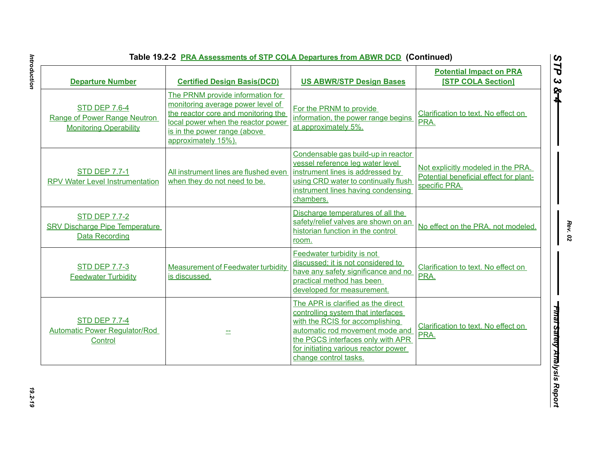| <b>Departure Number</b>                                                                | <b>Certified Design Basis(DCD)</b>                                                                                                                                                                        | <b>US ABWR/STP Design Bases</b>                                                                                                                                                                                                                      | <b>Potential Impact on PRA</b><br><b>ISTP COLA Section1</b>                                   |
|----------------------------------------------------------------------------------------|-----------------------------------------------------------------------------------------------------------------------------------------------------------------------------------------------------------|------------------------------------------------------------------------------------------------------------------------------------------------------------------------------------------------------------------------------------------------------|-----------------------------------------------------------------------------------------------|
| <b>STD DEP 7.6-4</b><br>Range of Power Range Neutron<br><b>Monitoring Operability</b>  | The PRNM provide information for<br>monitoring average power level of<br>the reactor core and monitoring the<br>local power when the reactor power<br>is in the power range (above<br>approximately 15%). | For the PRNM to provide<br>information, the power range begins<br>at approximately 5%.                                                                                                                                                               | Clarification to text. No effect on<br>PRA.                                                   |
| <b>STD DEP 7.7-1</b><br><b>RPV Water Level Instrumentation</b>                         | All instrument lines are flushed even<br>when they do not need to be.                                                                                                                                     | Condensable gas build-up in reactor<br>vessel reference leg water level<br>instrument lines is addressed by<br>using CRD water to continually flush<br>instrument lines having condensing<br>chambers.                                               | Not explicitly modeled in the PRA.<br>Potential beneficial effect for plant-<br>specific PRA. |
| <b>STD DEP 7.7-2</b><br><b>SRV Discharge Pipe Temperature</b><br><b>Data Recording</b> |                                                                                                                                                                                                           | Discharge temperatures of all the<br>safety/relief valves are shown on an<br>historian function in the control<br>room.                                                                                                                              | No effect on the PRA, not modeled.                                                            |
| <b>STD DEP 7.7-3</b><br><b>Feedwater Turbidity</b>                                     | <b>Measurement of Feedwater turbidity</b><br>is discussed.                                                                                                                                                | Feedwater turbidity is not<br>discussed; it is not considered to<br>have any safety significance and no<br>practical method has been<br>developed for measurement.                                                                                   | Clarification to text. No effect on<br>PRA.                                                   |
| <b>STD DEP 7.7-4</b><br>Automatic Power Regulator/Rod<br>Control                       |                                                                                                                                                                                                           | The APR is clarified as the direct<br>controlling system that interfaces<br>with the RCIS for accomplishing<br>automatic rod movement mode and<br>the PGCS interfaces only with APR<br>for initiating various reactor power<br>change control tasks. | Clarification to text. No effect on<br>PRA.                                                   |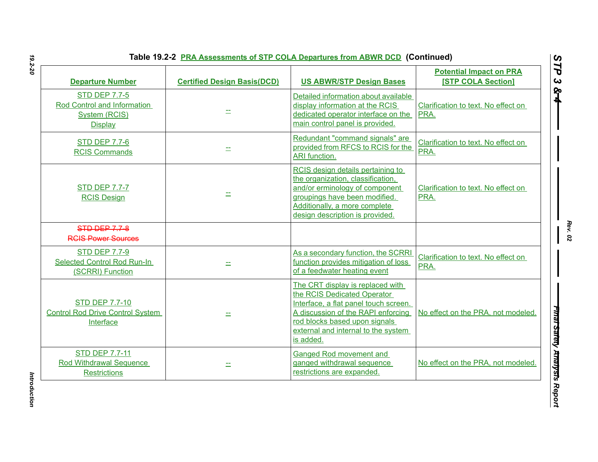|  | Table 19.2-2 PRA Assessments of STP COLA Departures from ABWR DCD (Continued) |  |
|--|-------------------------------------------------------------------------------|--|
|--|-------------------------------------------------------------------------------|--|

| <b>Departure Number</b>                                                                       | <b>Certified Design Basis(DCD)</b> | <b>US ABWR/STP Design Bases</b>                                                                                                                                                                                                     | <b>Potential Impact on PRA</b><br><b>[STP COLA Section]</b> |
|-----------------------------------------------------------------------------------------------|------------------------------------|-------------------------------------------------------------------------------------------------------------------------------------------------------------------------------------------------------------------------------------|-------------------------------------------------------------|
| <b>STD DEP 7.7-5</b><br>Rod Control and Information<br><b>System (RCIS)</b><br><b>Display</b> |                                    | Detailed information about available<br>display information at the RCIS<br>dedicated operator interface on the<br>main control panel is provided.                                                                                   | Clarification to text. No effect on<br>PRA.                 |
| <b>STD DEP 7.7-6</b><br><b>RCIS Commands</b>                                                  |                                    | Redundant "command signals" are<br>provided from RFCS to RCIS for the<br>ARI function.                                                                                                                                              | Clarification to text. No effect on<br>PRA.                 |
| <b>STD DEP 7.7-7</b><br><b>RCIS Design</b>                                                    |                                    | RCIS design details pertaining to<br>the organization, classification,<br>and/or erminology of component<br>groupings have been modified.<br>Additionally, a more complete<br>design description is provided.                       | Clarification to text. No effect on<br>PRA.                 |
| <b>STD DEP 7.7-8</b><br><b>RCIS Power Sources</b>                                             |                                    |                                                                                                                                                                                                                                     |                                                             |
| <b>STD DEP 7.7-9</b><br><b>Selected Control Rod Run-In</b><br>(SCRRI) Function                |                                    | As a secondary function, the SCRRI<br>function provides mitigation of loss<br>of a feedwater heating event                                                                                                                          | Clarification to text. No effect on<br>PRA.                 |
| <b>STD DEP 7.7-10</b><br><b>Control Rod Drive Control System</b><br>Interface                 |                                    | The CRT display is replaced with<br>the RCIS Dedicated Operator<br>Interface, a flat panel touch screen.<br>A discussion of the RAPI enforcing<br>rod blocks based upon signals<br>external and internal to the system<br>is added. | No effect on the PRA, not modeled.                          |
| <b>STD DEP 7.7-11</b><br>Rod Withdrawal Sequence<br><b>Restrictions</b>                       | 士                                  | Ganged Rod movement and<br>ganged withdrawal sequence<br>restrictions are expanded.                                                                                                                                                 | No effect on the PRA, not modeled.                          |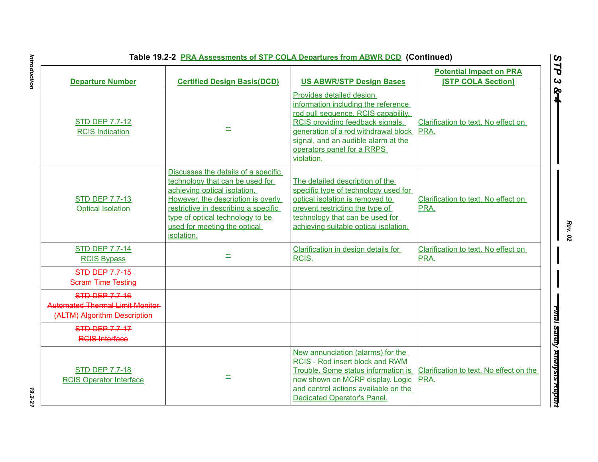|                                                                                                  | Table 19.2-2 PRA Assessments of STP COLA Departures from ABWR DCD (Continued)                                                                                                                                                                                          |                                                                                                                                                                                                                                                                            |                                                             |
|--------------------------------------------------------------------------------------------------|------------------------------------------------------------------------------------------------------------------------------------------------------------------------------------------------------------------------------------------------------------------------|----------------------------------------------------------------------------------------------------------------------------------------------------------------------------------------------------------------------------------------------------------------------------|-------------------------------------------------------------|
| <b>Departure Number</b>                                                                          | <b>Certified Design Basis(DCD)</b>                                                                                                                                                                                                                                     | <b>US ABWR/STP Design Bases</b>                                                                                                                                                                                                                                            | <b>Potential Impact on PRA</b><br><b>[STP COLA Section]</b> |
| <b>STD DEP 7.7-12</b><br><b>RCIS Indication</b>                                                  |                                                                                                                                                                                                                                                                        | Provides detailed design<br>information including the reference<br>rod pull sequence, RCIS capability,<br>RCIS providing feedback signals,<br>generation of a rod withdrawal block PRA.<br>signal, and an audible alarm at the<br>operators panel for a RRPS<br>violation. | Clarification to text. No effect on                         |
| <b>STD DEP 7.7-13</b><br><b>Optical Isolation</b>                                                | Discusses the details of a specific<br>technology that can be used for<br>achieving optical isolation.<br>However, the description is overly<br>restrictive in describing a specific<br>type of optical technology to be<br>used for meeting the optical<br>isolation. | The detailed description of the<br>specific type of technology used for<br>optical isolation is removed to<br>prevent restricting the type of<br>technology that can be used for<br>achieving suitable optical isolation.                                                  | Clarification to text. No effect on<br>PRA.                 |
| <b>STD DEP 7.7-14</b><br><b>RCIS Bypass</b>                                                      |                                                                                                                                                                                                                                                                        | Clarification in design details for<br>RCIS.                                                                                                                                                                                                                               | Clarification to text. No effect on<br>PRA.                 |
| <b>STD DEP 7.7-15</b><br><b>Scram Time Testing</b>                                               |                                                                                                                                                                                                                                                                        |                                                                                                                                                                                                                                                                            |                                                             |
| <b>STD DEP 7.7-16</b><br><b>Automated Thermal Limit Monitor-</b><br>(ALTM) Algorithm Description |                                                                                                                                                                                                                                                                        |                                                                                                                                                                                                                                                                            |                                                             |
| <b>STD DEP 7.7-17</b><br><b>RGIS Interface</b>                                                   |                                                                                                                                                                                                                                                                        |                                                                                                                                                                                                                                                                            |                                                             |
| <b>STD DEP 7.7-18</b><br><b>RCIS Operator Interface</b>                                          |                                                                                                                                                                                                                                                                        | New annunciation (alarms) for the<br>RCIS - Rod insert block and RWM<br>Trouble. Some status information is<br>now shown on MCRP display. Logic<br>and control actions available on the<br><b>Dedicated Operator's Panel.</b>                                              | Clarification to text. No effect on the<br>PRA.             |

# Introduction *Introduction 19.2-21*

*Rev. 02*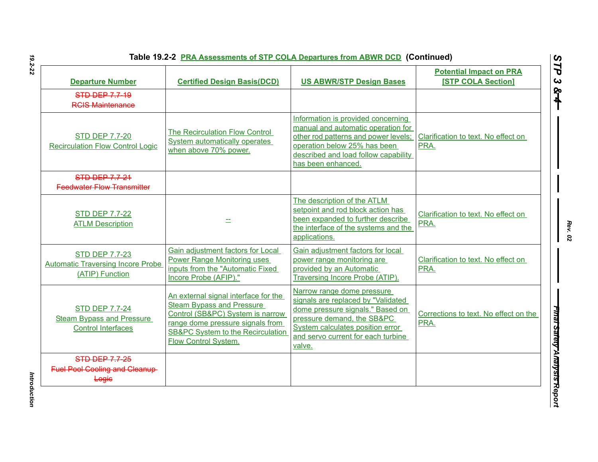| <b>Departure Number</b>                                                                | <b>Certified Design Basis(DCD)</b>                                                                                                                                                                                              | <b>US ABWR/STP Design Bases</b>                                                                                                                                                                                        | <b>Potential Impact on PRA</b><br><b>[STP COLA Section]</b> |
|----------------------------------------------------------------------------------------|---------------------------------------------------------------------------------------------------------------------------------------------------------------------------------------------------------------------------------|------------------------------------------------------------------------------------------------------------------------------------------------------------------------------------------------------------------------|-------------------------------------------------------------|
| <b>STD DEP 7.7-19</b><br><b>RCIS Maintenance</b>                                       |                                                                                                                                                                                                                                 |                                                                                                                                                                                                                        |                                                             |
| <b>STD DEP 7.7-20</b><br><b>Recirculation Flow Control Logic</b>                       | The Recirculation Flow Control<br><b>System automatically operates</b><br>when above 70% power.                                                                                                                                 | Information is provided concerning<br>manual and automatic operation for<br>other rod patterns and power levels;<br>operation below 25% has been<br>described and load follow capability<br>has been enhanced.         | Clarification to text. No effect on<br>PRA.                 |
| STD DEP 7.7-21<br><b>Feedwater Flow Transmitter</b>                                    |                                                                                                                                                                                                                                 |                                                                                                                                                                                                                        |                                                             |
| <b>STD DEP 7.7-22</b><br><b>ATLM Description</b>                                       |                                                                                                                                                                                                                                 | The description of the ATLM<br>setpoint and rod block action has<br>been expanded to further describe<br>the interface of the systems and the<br>applications.                                                         | Clarification to text. No effect on<br>PRA.                 |
| <b>STD DEP 7.7-23</b><br><b>Automatic Traversing Incore Probe</b><br>(ATIP) Function   | Gain adjustment factors for Local<br><b>Power Range Monitoring uses</b><br>inputs from the "Automatic Fixed<br>Incore Probe (AFIP)."                                                                                            | Gain adjustment factors for local<br>power range monitoring are<br>provided by an Automatic<br>Traversing Incore Probe (ATIP).                                                                                         | Clarification to text. No effect on<br>PRA.                 |
| <b>STD DEP 7.7-24</b><br><b>Steam Bypass and Pressure</b><br><b>Control Interfaces</b> | An external signal interface for the<br><b>Steam Bypass and Pressure</b><br>Control (SB&PC) System is narrow<br>range dome pressure signals from<br><b>SB&amp;PC System to the Recirculation</b><br><b>Flow Control System.</b> | Narrow range dome pressure<br>signals are replaced by "Validated<br>dome pressure signals." Based on<br>pressure demand, the SB&PC<br>System calculates position error<br>and servo current for each turbine<br>valve. | Corrections to text. No effect on the<br>PRA.               |
| <b>STD DEP 7.7-25</b><br><b>Fuel Pool Cooling and Cleanup-</b><br>Logic                |                                                                                                                                                                                                                                 |                                                                                                                                                                                                                        |                                                             |

*Introduction* 

Introduction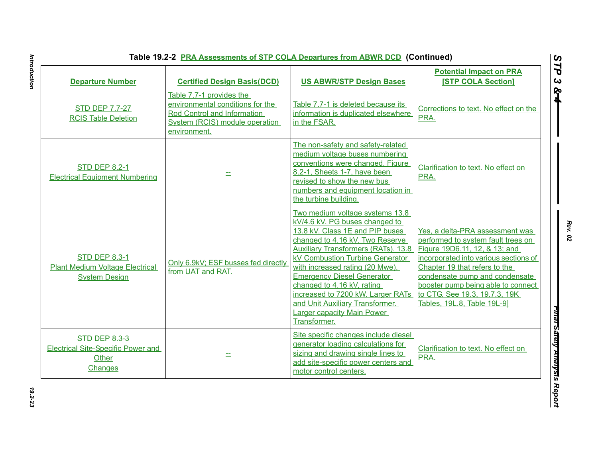| <b>Departure Number</b>                                                                | <b>Certified Design Basis(DCD)</b>                                                                                                            | <b>US ABWR/STP Design Bases</b>                                                                                                                                                                                                                                                                                                                                                                                                                             | <b>Potential Impact on PRA</b><br><b>[STP COLA Section]</b>                                                                                                                                                                                                                                                              |
|----------------------------------------------------------------------------------------|-----------------------------------------------------------------------------------------------------------------------------------------------|-------------------------------------------------------------------------------------------------------------------------------------------------------------------------------------------------------------------------------------------------------------------------------------------------------------------------------------------------------------------------------------------------------------------------------------------------------------|--------------------------------------------------------------------------------------------------------------------------------------------------------------------------------------------------------------------------------------------------------------------------------------------------------------------------|
| <b>STD DEP 7.7-27</b><br><b>RCIS Table Deletion</b>                                    | Table 7.7-1 provides the<br>environmental conditions for the<br>Rod Control and Information<br>System (RCIS) module operation<br>environment. | Table 7.7-1 is deleted because its<br>information is duplicated elsewhere<br>in the FSAR.                                                                                                                                                                                                                                                                                                                                                                   | Corrections to text. No effect on the<br>PRA.                                                                                                                                                                                                                                                                            |
| <b>STD DEP 8.2-1</b><br><b>Electrical Equipment Numbering</b>                          |                                                                                                                                               | The non-safety and safety-related<br>medium voltage buses numbering<br>conventions were changed. Figure<br>8.2-1, Sheets 1-7, have been<br>revised to show the new bus<br>numbers and equipment location in<br>the turbine building.                                                                                                                                                                                                                        | Clarification to text. No effect on<br>PRA.                                                                                                                                                                                                                                                                              |
| <b>STD DEP 8.3-1</b><br><b>Plant Medium Voltage Electrical</b><br><b>System Design</b> | Only 6.9kV; ESF busses fed directly<br>from UAT and RAT.                                                                                      | Two medium voltage systems 13.8<br>kV/4.6 kV. PG buses changed to<br>13.8 kV. Class 1E and PIP buses<br>changed to 4.16 kV. Two Reserve<br><b>Auxiliary Transformers (RATs). 13.8</b><br>kV Combustion Turbine Generator<br>with increased rating (20 Mwe).<br><b>Emergency Diesel Generator</b><br>changed to 4.16 kV, rating<br>increased to 7200 kW. Larger RATs<br>and Unit Auxiliary Transformer.<br><b>Larger capacity Main Power</b><br>Transformer. | Yes, a delta-PRA assessment was<br>performed to system fault trees on<br>Figure 19D6.11, 12, & 13; and<br>incorporated into various sections of<br>Chapter 19 that refers to the<br>condensate pump and condensate<br>booster pump being able to connect<br>to CTG. See 19.3, 19.7.3, 19K<br>Tables, 19L.8, Table 19L-9] |
| <b>STD DEP 8.3-3</b><br><b>Electrical Site-Specific Power and</b><br>Other<br>Changes  |                                                                                                                                               | Site specific changes include diesel<br>generator loading calculations for<br>sizing and drawing single lines to<br>add site-specific power centers and<br>motor control centers.                                                                                                                                                                                                                                                                           | Clarification to text. No effect on<br>PRA.                                                                                                                                                                                                                                                                              |

Introduction *Introduction 19.2-23*

*STP 3 & 4*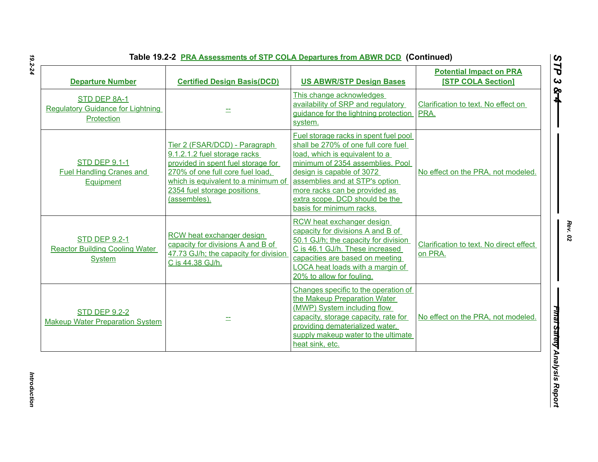| Table 19.2-2 PRA Assessments of STP COLA Departures from ABWR DCD (Continued) |  |
|-------------------------------------------------------------------------------|--|
|                                                                               |  |

| <b>Departure Number</b>                                                        | <b>Certified Design Basis(DCD)</b>                                                                                                                                                                                            | <b>US ABWR/STP Design Bases</b>                                                                                                                                                                                                                                                                                  | <b>Potential Impact on PRA</b><br><b>[STP COLA Section]</b> |
|--------------------------------------------------------------------------------|-------------------------------------------------------------------------------------------------------------------------------------------------------------------------------------------------------------------------------|------------------------------------------------------------------------------------------------------------------------------------------------------------------------------------------------------------------------------------------------------------------------------------------------------------------|-------------------------------------------------------------|
| STD DEP 8A-1<br><b>Regulatory Guidance for Lightning</b><br>Protection         |                                                                                                                                                                                                                               | This change acknowledges<br>availability of SRP and regulatory<br>guidance for the lightning protection<br>system.                                                                                                                                                                                               | Clarification to text. No effect on<br>PRA.                 |
| <b>STD DEP 9.1-1</b><br><b>Fuel Handling Cranes and</b><br>Equipment           | Tier 2 (FSAR/DCD) - Paragraph<br>9.1.2.1.2 fuel storage racks<br>provided in spent fuel storage for<br>270% of one full core fuel load,<br>which is equivalent to a minimum of<br>2354 fuel storage positions<br>(assembles). | Fuel storage racks in spent fuel pool<br>shall be 270% of one full core fuel<br>load, which is equivalent to a<br>minimum of 2354 assemblies. Pool<br>design is capable of 3072<br>assemblies and at STP's option<br>more racks can be provided as<br>extra scope. DCD should be the<br>basis for minimum racks. | No effect on the PRA, not modeled.                          |
| <b>STD DEP 9.2-1</b><br><b>Reactor Building Cooling Water</b><br><b>System</b> | RCW heat exchanger design<br>capacity for divisions A and B of<br>47.73 GJ/h; the capacity for division<br>C is 44.38 GJ/h.                                                                                                   | RCW heat exchanger design<br>capacity for divisions A and B of<br>50.1 GJ/h; the capacity for division<br>C is 46.1 GJ/h. These increased<br>capacities are based on meeting<br>LOCA heat loads with a margin of<br>20% to allow for fouling.                                                                    | Clarification to text. No direct effect<br>on PRA.          |
| <b>STD DEP 9.2-2</b><br><b>Makeup Water Preparation System</b>                 |                                                                                                                                                                                                                               | Changes specific to the operation of<br>the Makeup Preparation Water<br>(MWP) System including flow<br>capacity, storage capacity, rate for<br>providing dematerialized water,<br>supply makeup water to the ultimate<br>heat sink, etc.                                                                         | No effect on the PRA, not modeled.                          |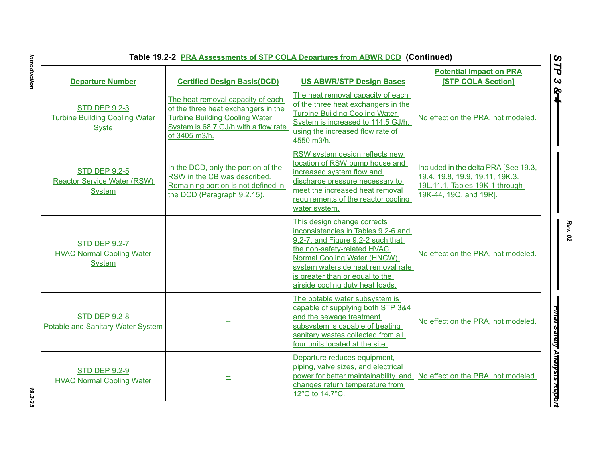| Table 19.2-2 PRA Assessments of STP COLA Departures from ABWR DCD (Continued) |                                                                                                                                                                            |                                                                                                                                                                                                                                                                                    |                                                                                                                                     |
|-------------------------------------------------------------------------------|----------------------------------------------------------------------------------------------------------------------------------------------------------------------------|------------------------------------------------------------------------------------------------------------------------------------------------------------------------------------------------------------------------------------------------------------------------------------|-------------------------------------------------------------------------------------------------------------------------------------|
| <b>Departure Number</b>                                                       | <b>Certified Design Basis(DCD)</b>                                                                                                                                         | <b>US ABWR/STP Design Bases</b>                                                                                                                                                                                                                                                    | <b>Potential Impact on PRA</b><br><b>[STP COLA Section]</b>                                                                         |
| <b>STD DEP 9.2-3</b><br><b>Turbine Building Cooling Water</b><br><b>Syste</b> | The heat removal capacity of each<br>of the three heat exchangers in the<br><b>Turbine Building Cooling Water</b><br>System is 68.7 GJ/h with a flow rate<br>of 3405 m3/h. | The heat removal capacity of each<br>of the three heat exchangers in the<br><b>Turbine Building Cooling Water</b><br>System is increased to 114.5 GJ/h,<br>using the increased flow rate of<br>4550 m3/h.                                                                          | No effect on the PRA, not modeled.                                                                                                  |
| <b>STD DEP 9.2-5</b><br><b>Reactor Service Water (RSW)</b><br><b>System</b>   | In the DCD, only the portion of the<br>RSW in the CB was described.<br>Remaining portion is not defined in<br>the DCD (Paragraph 9.2.15).                                  | RSW system design reflects new<br>location of RSW pump house and<br>increased system flow and<br>discharge pressure necessary to<br>meet the increased heat removal<br>requirements of the reactor cooling<br>water system.                                                        | Included in the delta PRA [See 19.3,<br>19.4, 19.8, 19.9, 19.11, 19K.3.<br>19L.11.1, Tables 19K-1 through<br>19K-44, 19Q, and 19R]. |
| <b>STD DEP 9.2-7</b><br><b>HVAC Normal Cooling Water</b><br><b>System</b>     |                                                                                                                                                                            | This design change corrects<br>inconsistencies in Tables 9.2-6 and<br>9.2-7, and Figure 9.2-2 such that<br>the non-safety-related HVAC<br>Normal Cooling Water (HNCW)<br>system waterside heat removal rate<br>is greater than or equal to the<br>airside cooling duty heat loads. | No effect on the PRA, not modeled.                                                                                                  |
| <b>STD DEP 9.2-8</b><br>Potable and Sanitary Water System                     |                                                                                                                                                                            | The potable water subsystem is<br>capable of supplying both STP 3&4<br>and the sewage treatment<br>subsystem is capable of treating<br>sanitary wastes collected from all<br>four units located at the site.                                                                       | No effect on the PRA, not modeled.                                                                                                  |
| <b>STD DEP 9.2-9</b><br><b>HVAC Normal Cooling Water</b>                      |                                                                                                                                                                            | Departure reduces equipment,<br>piping, valve sizes, and electrical<br>power for better maintainability, and<br>changes return temperature from<br>12°C to 14.7°C.                                                                                                                 | No effect on the PRA, not modeled.                                                                                                  |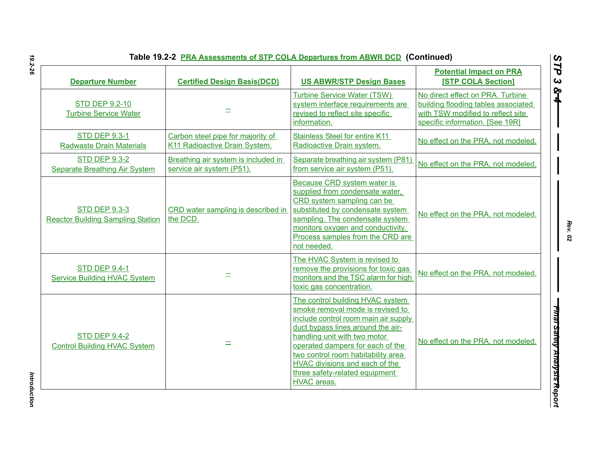| Table 19.2-2 PRA Assessments of STP COLA Departures from ABWR DCD (Continued) |  |
|-------------------------------------------------------------------------------|--|
|-------------------------------------------------------------------------------|--|

| <b>Departure Number</b>                                          | <b>Certified Design Basis(DCD)</b>                                 | <b>US ABWR/STP Design Bases</b>                                                                                                                                                                                                                                                                                                                       | <b>Potential Impact on PRA</b><br><b>[STP COLA Section]</b>                                                                                     |
|------------------------------------------------------------------|--------------------------------------------------------------------|-------------------------------------------------------------------------------------------------------------------------------------------------------------------------------------------------------------------------------------------------------------------------------------------------------------------------------------------------------|-------------------------------------------------------------------------------------------------------------------------------------------------|
| <b>STD DEP 9.2-10</b><br><b>Turbine Service Water</b>            |                                                                    | Turbine Service Water (TSW)<br>system interface requirements are<br>revised to reflect site specific<br>information.                                                                                                                                                                                                                                  | No direct effect on PRA. Turbine<br>building flooding tables associated<br>with TSW modified to reflect site<br>specific information. [See 19R] |
| <b>STD DEP 9.3-1</b><br><b>Radwaste Drain Materials</b>          | Carbon steel pipe for majority of<br>K11 Radioactive Drain System. | Stainless Steel for entire K11<br>Radioactive Drain system.                                                                                                                                                                                                                                                                                           | No effect on the PRA, not modeled.                                                                                                              |
| <b>STD DEP 9.3-2</b><br>Separate Breathing Air System            | Breathing air system is included in<br>service air system (P51).   | Separate breathing air system (P81)<br>from service air system (P51).                                                                                                                                                                                                                                                                                 | No effect on the PRA, not modeled.                                                                                                              |
| <b>STD DEP 9.3-3</b><br><b>Reactor Building Sampling Station</b> | CRD water sampling is described in<br>the DCD.                     | Because CRD system water is<br>supplied from condensate water,<br>CRD system sampling can be<br>substituted by condensate system<br>sampling. The condensate system<br>monitors oxygen and conductivity.<br>Process samples from the CRD are<br>not needed.                                                                                           | No effect on the PRA, not modeled.                                                                                                              |
| <b>STD DEP 9.4-1</b><br><b>Service Building HVAC System</b>      |                                                                    | The HVAC System is revised to<br>remove the provisions for toxic gas<br>monitors and the TSC alarm for high<br>toxic gas concentration.                                                                                                                                                                                                               | No effect on the PRA, not modeled.                                                                                                              |
| <b>STD DEP 9.4-2</b><br><b>Control Building HVAC System</b>      |                                                                    | The control building HVAC system<br>smoke removal mode is revised to<br>include control room main air supply<br>duct bypass lines around the air-<br>handling unit with two motor<br>operated dampers for each of the<br>two control room habitability area<br><b>HVAC</b> divisions and each of the<br>three safety-related equipment<br>HVAC areas. | No effect on the PRA, not modeled.                                                                                                              |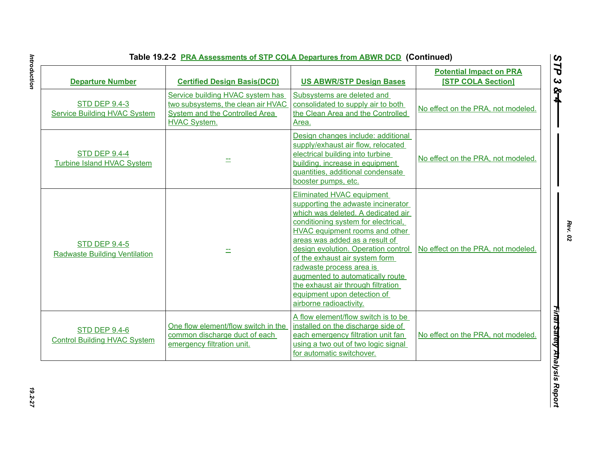| <b>Departure Number</b>                                      | <b>Certified Design Basis(DCD)</b>                                                                                              | <b>US ABWR/STP Design Bases</b>                                                                                                                                                                                                                                                                                                                                                                                                                           | <b>Potential Impact on PRA</b><br><b>[STP COLA Section]</b> |
|--------------------------------------------------------------|---------------------------------------------------------------------------------------------------------------------------------|-----------------------------------------------------------------------------------------------------------------------------------------------------------------------------------------------------------------------------------------------------------------------------------------------------------------------------------------------------------------------------------------------------------------------------------------------------------|-------------------------------------------------------------|
| <b>STD DEP 9.4-3</b><br><b>Service Building HVAC System</b>  | Service building HVAC system has<br>two subsystems, the clean air HVAC<br>System and the Controlled Area<br><b>HVAC System.</b> | Subsystems are deleted and<br>consolidated to supply air to both<br>the Clean Area and the Controlled<br>Area.                                                                                                                                                                                                                                                                                                                                            | No effect on the PRA, not modeled.                          |
| <b>STD DEP 9.4-4</b><br><b>Turbine Island HVAC System</b>    |                                                                                                                                 | Design changes include: additional<br>supply/exhaust air flow, relocated<br>electrical building into turbine<br>building, increase in equipment<br>quantities, additional condensate<br>booster pumps, etc.                                                                                                                                                                                                                                               | No effect on the PRA, not modeled.                          |
| <b>STD DEP 9.4-5</b><br><b>Radwaste Building Ventilation</b> |                                                                                                                                 | Eliminated HVAC equipment<br>supporting the adwaste incinerator<br>which was deleted. A dedicated air<br>conditioning system for electrical,<br>HVAC equipment rooms and other<br>areas was added as a result of<br>design evolution. Operation control<br>of the exhaust air system form<br>radwaste process area is<br>augmented to automatically route<br>the exhaust air through filtration<br>equipment upon detection of<br>airborne radioactivity. | No effect on the PRA, not modeled.                          |
| <b>STD DEP 9.4-6</b><br><b>Control Building HVAC System</b>  | One flow element/flow switch in the<br>common discharge duct of each<br>emergency filtration unit.                              | A flow element/flow switch is to be<br>installed on the discharge side of<br>each emergency filtration unit fan<br>using a two out of two logic signal<br>for automatic switchover.                                                                                                                                                                                                                                                                       | No effect on the PRA, not modeled.                          |

Introduction *Introduction 19.2-27*

*Rev. 02*

*STP 3 & 4*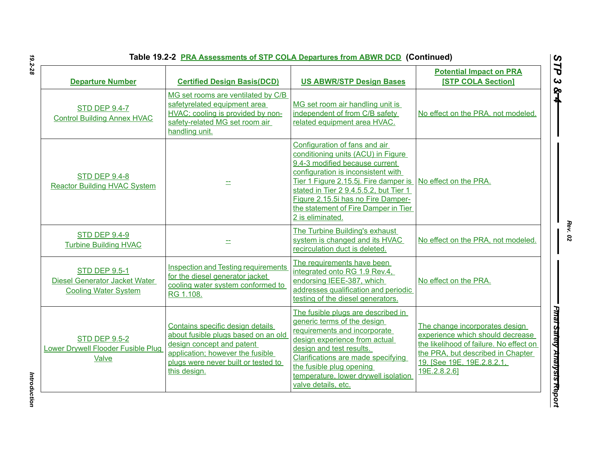| <b>Departure Number</b>                                                                     | <b>Certified Design Basis(DCD)</b>                                                                                                                                                              | <b>US ABWR/STP Design Bases</b>                                                                                                                                                                                                                                                                                                  | <b>Potential Impact on PRA</b><br><b>[STP COLA Section]</b>                                                                                                                                      |
|---------------------------------------------------------------------------------------------|-------------------------------------------------------------------------------------------------------------------------------------------------------------------------------------------------|----------------------------------------------------------------------------------------------------------------------------------------------------------------------------------------------------------------------------------------------------------------------------------------------------------------------------------|--------------------------------------------------------------------------------------------------------------------------------------------------------------------------------------------------|
| <b>STD DEP 9.4-7</b><br><b>Control Building Annex HVAC</b>                                  | MG set rooms are ventilated by C/B<br>safetyrelated equipment area<br>HVAC; cooling is provided by non-<br>safety-related MG set room air<br>handling unit.                                     | MG set room air handling unit is<br>independent of from C/B safety<br>related equipment area HVAC.                                                                                                                                                                                                                               | No effect on the PRA, not modeled.                                                                                                                                                               |
| <b>STD DEP 9.4-8</b><br><b>Reactor Building HVAC System</b>                                 |                                                                                                                                                                                                 | Configuration of fans and air<br>conditioning units (ACU) in Figure<br>9.4-3 modified because current<br>configuration is inconsistent with<br>Tier 1 Figure 2.15.5j. Fire damper is<br>stated in Tier 2 9.4.5.5.2, but Tier 1<br>Figure 2.15.5i has no Fire Damper-<br>the statement of Fire Damper in Tier<br>2 is eliminated. | No effect on the PRA.                                                                                                                                                                            |
| <b>STD DEP 9.4-9</b><br><b>Turbine Building HVAC</b>                                        | 二                                                                                                                                                                                               | The Turbine Building's exhaust<br>system is changed and its HVAC<br>recirculation duct is deleted.                                                                                                                                                                                                                               | No effect on the PRA, not modeled.                                                                                                                                                               |
| <b>STD DEP 9.5-1</b><br><b>Diesel Generator Jacket Water</b><br><b>Cooling Water System</b> | <b>Inspection and Testing requirements</b><br>for the diesel generator jacket<br>cooling water system conformed to<br>RG 1.108.                                                                 | The requirements have been<br>integrated onto RG 1.9 Rev.4,<br>endorsing IEEE-387, which<br>addresses qualification and periodic<br>testing of the diesel generators.                                                                                                                                                            | No effect on the PRA.                                                                                                                                                                            |
| <b>STD DEP 9.5-2</b><br><b>Lower Drywell Flooder Fusible Plug</b><br>Valve                  | Contains specific design details<br>about fusible plugs based on an old<br>design concept and patent<br>application; however the fusible<br>plugs were never built or tested to<br>this design. | The fusible plugs are described in<br>generic terms of the design<br>requirements and incorporate<br>design experience from actual<br>design and test results.<br>Clarifications are made specifying<br>the fusible plug opening<br>temperature, lower drywell isolation<br>valve details, etc.                                  | The change incorporates design<br>experience which should decrease<br>the likelihood of failure. No effect on<br>the PRA, but described in Chapter<br>19. [See 19E, 19E.2.8.2.1,<br>19E.2.8.2.6] |

*STP 3 & 4*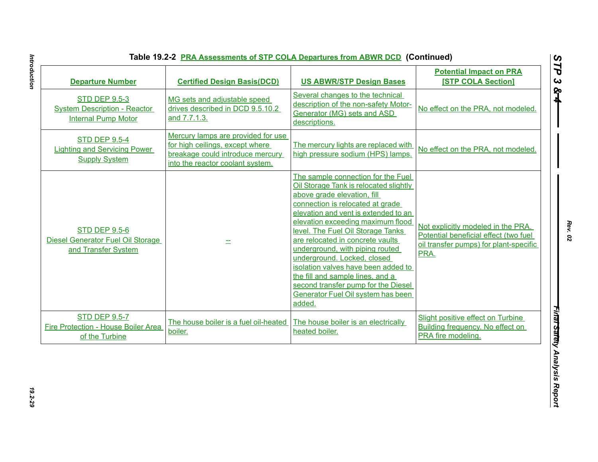| <b>Departure Number</b>                                                                   | <b>Certified Design Basis(DCD)</b>                                                                                                            | <b>US ABWR/STP Design Bases</b>                                                                                                                                                                                                                                                                                                                                                                                                                                                                                                           | <b>Potential Impact on PRA</b><br><b>[STP COLA Section]</b>                                                                   |
|-------------------------------------------------------------------------------------------|-----------------------------------------------------------------------------------------------------------------------------------------------|-------------------------------------------------------------------------------------------------------------------------------------------------------------------------------------------------------------------------------------------------------------------------------------------------------------------------------------------------------------------------------------------------------------------------------------------------------------------------------------------------------------------------------------------|-------------------------------------------------------------------------------------------------------------------------------|
| <b>STD DEP 9.5-3</b><br><b>System Description - Reactor</b><br><b>Internal Pump Motor</b> | MG sets and adjustable speed<br>drives described in DCD 9.5.10.2<br>and 7.7.1.3.                                                              | Several changes to the technical<br>description of the non-safety Motor-<br>Generator (MG) sets and ASD<br>descriptions.                                                                                                                                                                                                                                                                                                                                                                                                                  | No effect on the PRA, not modeled.                                                                                            |
| <b>STD DEP 9.5-4</b><br><b>Lighting and Servicing Power</b><br><b>Supply System</b>       | Mercury lamps are provided for use<br>for high ceilings, except where<br>breakage could introduce mercury<br>into the reactor coolant system. | The mercury lights are replaced with<br>high pressure sodium (HPS) lamps.                                                                                                                                                                                                                                                                                                                                                                                                                                                                 | No effect on the PRA, not modeled.                                                                                            |
| <b>STD DEP 9.5-6</b><br>Diesel Generator Fuel Oil Storage<br>and Transfer System          |                                                                                                                                               | The sample connection for the Fuel<br>Oil Storage Tank is relocated slightly<br>above grade elevation, fill<br>connection is relocated at grade<br>elevation and vent is extended to an<br>elevation exceeding maximum flood<br>level. The Fuel Oil Storage Tanks<br>are relocated in concrete vaults<br>underground, with piping routed<br>underground. Locked, closed<br>isolation valves have been added to<br>the fill and sample lines, and a<br>second transfer pump for the Diesel<br>Generator Fuel Oil system has been<br>added. | Not explicitly modeled in the PRA.<br>Potential beneficial effect (two fuel<br>oil transfer pumps) for plant-specific<br>PRA. |
| <b>STD DEP 9.5-7</b><br>Fire Protection - House Boiler Area<br>of the Turbine             | The house boiler is a fuel oil-heated<br>boiler.                                                                                              | The house boiler is an electrically<br>heated boiler.                                                                                                                                                                                                                                                                                                                                                                                                                                                                                     | Slight positive effect on Turbine<br>Building frequency. No effect on<br>PRA fire modeling.                                   |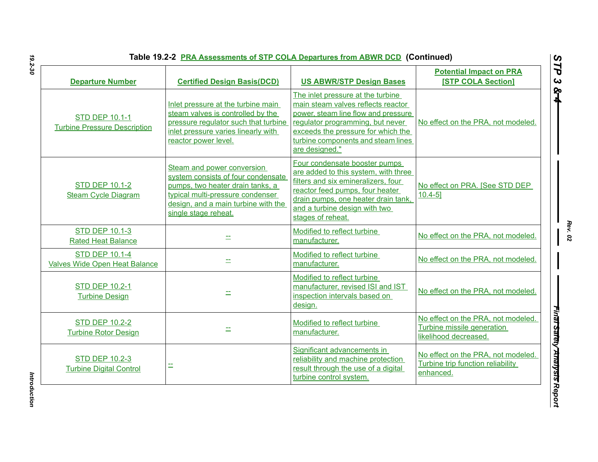| <b>Departure Number</b>                                       | <b>Certified Design Basis(DCD)</b>                                                                                                                                                                      | <b>US ABWR/STP Design Bases</b>                                                                                                                                                                                                                  | <b>Potential Impact on PRA</b><br><b>[STP COLA Section]</b>                               |
|---------------------------------------------------------------|---------------------------------------------------------------------------------------------------------------------------------------------------------------------------------------------------------|--------------------------------------------------------------------------------------------------------------------------------------------------------------------------------------------------------------------------------------------------|-------------------------------------------------------------------------------------------|
| <b>STD DEP 10.1-1</b><br><b>Turbine Pressure Description</b>  | Inlet pressure at the turbine main<br>steam valves is controlled by the<br>pressure regulator such that turbine<br>inlet pressure varies linearly with<br>reactor power level.                          | The inlet pressure at the turbine<br>main steam valves reflects reactor<br>power, steam line flow and pressure<br>regulator programming, but never<br>exceeds the pressure for which the<br>turbine components and steam lines<br>are designed." | No effect on the PRA, not modeled.                                                        |
| <b>STD DEP 10.1-2</b><br><b>Steam Cycle Diagram</b>           | Steam and power conversion<br>system consists of four condensate<br>pumps, two heater drain tanks, a<br>typical multi-pressure condenser<br>design, and a main turbine with the<br>single stage reheat. | Four condensate booster pumps<br>are added to this system, with three<br>filters and six emineralizers, four<br>reactor feed pumps, four heater<br>drain pumps, one heater drain tank,<br>and a turbine design with two<br>stages of reheat.     | No effect on PRA. [See STD DEP<br>$10.4 - 5$ ]                                            |
| <b>STD DEP 10.1-3</b><br><b>Rated Heat Balance</b>            |                                                                                                                                                                                                         | Modified to reflect turbine<br>manufacturer.                                                                                                                                                                                                     | No effect on the PRA, not modeled.                                                        |
| <b>STD DEP 10.1-4</b><br><b>Valves Wide Open Heat Balance</b> | ÷.                                                                                                                                                                                                      | Modified to reflect turbine<br>manufacturer.                                                                                                                                                                                                     | No effect on the PRA, not modeled.                                                        |
| <b>STD DEP 10.2-1</b><br><b>Turbine Design</b>                | 士                                                                                                                                                                                                       | Modified to reflect turbine<br>manufacturer, revised ISI and IST<br>inspection intervals based on<br>design.                                                                                                                                     | No effect on the PRA, not modeled.                                                        |
| <b>STD DEP 10.2-2</b><br><b>Turbine Rotor Design</b>          |                                                                                                                                                                                                         | Modified to reflect turbine<br>manufacturer.                                                                                                                                                                                                     | No effect on the PRA, not modeled.<br>Turbine missile generation<br>likelihood decreased. |
| <b>STD DEP 10.2-3</b><br><b>Turbine Digital Control</b>       |                                                                                                                                                                                                         | Significant advancements in<br>reliability and machine protection<br>result through the use of a digital<br>turbine control system.                                                                                                              | No effect on the PRA, not modeled.<br>Turbine trip function reliability<br>enhanced.      |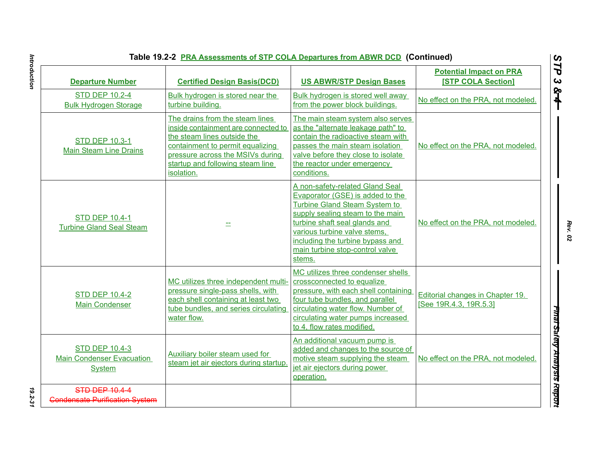| Table 19.2-2 PRA Assessments of STP COLA Departures from ABWR DCD (Continued) |                                                                                                                                                                                                                                 |                                                                                                                                                                                                                                                                                                   |                                                             |
|-------------------------------------------------------------------------------|---------------------------------------------------------------------------------------------------------------------------------------------------------------------------------------------------------------------------------|---------------------------------------------------------------------------------------------------------------------------------------------------------------------------------------------------------------------------------------------------------------------------------------------------|-------------------------------------------------------------|
| <b>Departure Number</b>                                                       | <b>Certified Design Basis(DCD)</b>                                                                                                                                                                                              | <b>US ABWR/STP Design Bases</b>                                                                                                                                                                                                                                                                   | <b>Potential Impact on PRA</b><br><b>[STP COLA Section]</b> |
| <b>STD DEP 10.2-4</b><br><b>Bulk Hydrogen Storage</b>                         | Bulk hydrogen is stored near the<br>turbine building.                                                                                                                                                                           | Bulk hydrogen is stored well away<br>from the power block buildings.                                                                                                                                                                                                                              | No effect on the PRA, not modeled.                          |
| <b>STD DEP 10.3-1</b><br><b>Main Steam Line Drains</b>                        | The drains from the steam lines<br>inside containment are connected to<br>the steam lines outside the<br>containment to permit equalizing<br>pressure across the MSIVs during<br>startup and following steam line<br>isolation. | The main steam system also serves<br>as the "alternate leakage path" to<br>contain the radioactive steam with<br>passes the main steam isolation<br>valve before they close to isolate<br>the reactor under emergency<br>conditions.                                                              | No effect on the PRA, not modeled.                          |
| <b>STD DEP 10.4-1</b><br><b>Turbine Gland Seal Steam</b>                      |                                                                                                                                                                                                                                 | A non-safety-related Gland Seal<br>Evaporator (GSE) is added to the<br><b>Turbine Gland Steam System to</b><br>supply sealing steam to the main<br>turbine shaft seal glands and<br>various turbine valve stems,<br>including the turbine bypass and<br>main turbine stop-control valve<br>stems. | No effect on the PRA, not modeled.                          |
| <b>STD DEP 10.4-2</b><br><b>Main Condenser</b>                                | MC utilizes three independent multi-<br>pressure single-pass shells, with<br>each shell containing at least two<br>tube bundles, and series circulating<br>water flow.                                                          | MC utilizes three condenser shells<br>crossconnected to equalize<br>pressure, with each shell containing<br>four tube bundles, and parallel<br>circulating water flow. Number of<br>circulating water pumps increased<br>to 4, flow rates modified.                                               | Editorial changes in Chapter 19.<br>[See 19R.4.3, 19R.5.3]  |
| <b>STD DEP 10.4-3</b><br><b>Main Condenser Evacuation</b><br>System           | Auxiliary boiler steam used for<br>steam jet air ejectors during startup.                                                                                                                                                       | An additional vacuum pump is<br>added and changes to the source of<br>motive steam supplying the steam<br>jet air ejectors during power<br>operation.                                                                                                                                             | No effect on the PRA, not modeled.                          |
| <b>STD DEP 10.4-4</b><br><b>Condensate Purification System</b>                |                                                                                                                                                                                                                                 |                                                                                                                                                                                                                                                                                                   |                                                             |

Introduction *Introduction 19.2-31*

*Rev. 02*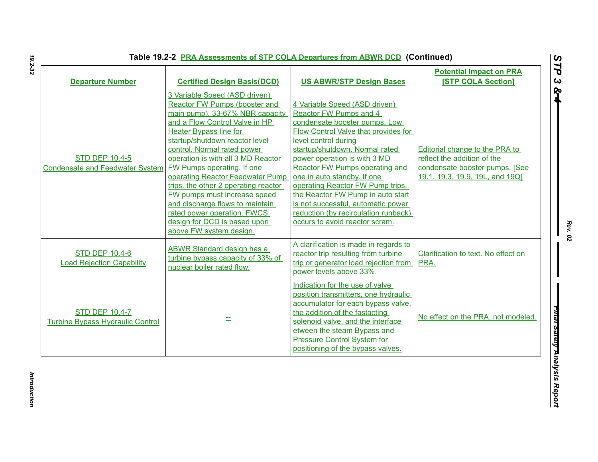| <b>Departure Number</b>                                          | <b>Certified Design Basis(DCD)</b>                                                                                                                                                                                                                                                                                                                                                                                                                                                                                                                        | <b>US ABWR/STP Design Bases</b>                                                                                                                                                                                                                                                                                                                                                                                                                                                                    | <b>Potential Impact on PRA</b><br><b>[STP COLA Section]</b>                                                                         |
|------------------------------------------------------------------|-----------------------------------------------------------------------------------------------------------------------------------------------------------------------------------------------------------------------------------------------------------------------------------------------------------------------------------------------------------------------------------------------------------------------------------------------------------------------------------------------------------------------------------------------------------|----------------------------------------------------------------------------------------------------------------------------------------------------------------------------------------------------------------------------------------------------------------------------------------------------------------------------------------------------------------------------------------------------------------------------------------------------------------------------------------------------|-------------------------------------------------------------------------------------------------------------------------------------|
| <b>STD DEP 10.4-5</b><br><b>Condensate and Feedwater System</b>  | 3 Variable Speed (ASD driven)<br>Reactor FW Pumps (booster and<br>main pump), 33-67% NBR capacity<br>and a Flow Control Valve in HP<br><b>Heater Bypass line for</b><br>startup/shutdown reactor level<br>control. Normal rated power<br>operation is with all 3 MD Reactor<br><b>FW Pumps operating. If one</b><br>operating Reactor Feedwater Pump<br>trips, the other 2 operating reactor<br>FW pumps must increase speed<br>and discharge flows to maintain<br>rated power operation. FWCS<br>design for DCD is based upon<br>above FW system design. | 4 Variable Speed (ASD driven)<br>Reactor FW Pumps and 4<br>condensate booster pumps, Low<br><b>Flow Control Valve that provides for</b><br>level control during<br>startup/shutdown. Normal rated<br>power operation is with 3 MD<br><b>Reactor FW Pumps operating and</b><br>one in auto standby. If one<br>operating Reactor FW Pump trips,<br>the Reactor FW Pump in auto start<br>is not successful, automatic power<br>reduction (by recirculation runback)<br>occurs to avoid reactor scram. | Editorial change to the PRA to<br>reflect the addition of the<br>condensate booster pumps. [See]<br>19.1, 19.3, 19.9, 19L, and 19Q] |
| <b>STD DEP 10.4-6</b><br><b>Load Rejection Capability</b>        | <b>ABWR Standard design has a</b><br>turbine bypass capacity of 33% of<br>nuclear boiler rated flow.                                                                                                                                                                                                                                                                                                                                                                                                                                                      | A clarification is made in regards to<br>reactor trip resulting from turbine<br>trip or generator load rejection from<br>power levels above 33%.                                                                                                                                                                                                                                                                                                                                                   | Clarification to text. No effect on<br>PRA.                                                                                         |
| <b>STD DEP 10.4-7</b><br><b>Turbine Bypass Hydraulic Control</b> |                                                                                                                                                                                                                                                                                                                                                                                                                                                                                                                                                           | Indication for the use of valve<br>position transmitters, one hydraulic<br>accumulator for each bypass valve,<br>the addition of the fastacting<br>solenoid valve, and the interface<br>etween the steam Bypass and<br><b>Pressure Control System for</b><br>positioning of the bypass valves.                                                                                                                                                                                                     | No effect on the PRA, not modeled.                                                                                                  |

*Rev. 02*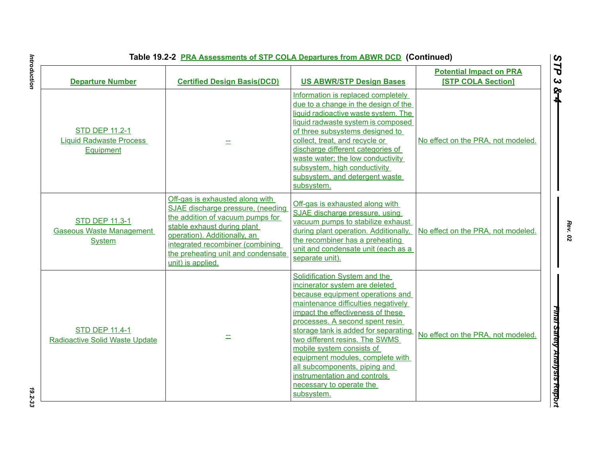| <b>Departure Number</b>                                                   | <b>Certified Design Basis(DCD)</b>                                                                                                                                                                                                                                     | <b>US ABWR/STP Design Bases</b>                                                                                                                                                                                                                                                                                                                                                                                                                                          | <b>Potential Impact on PRA</b><br><b>[STP COLA Section]</b> |
|---------------------------------------------------------------------------|------------------------------------------------------------------------------------------------------------------------------------------------------------------------------------------------------------------------------------------------------------------------|--------------------------------------------------------------------------------------------------------------------------------------------------------------------------------------------------------------------------------------------------------------------------------------------------------------------------------------------------------------------------------------------------------------------------------------------------------------------------|-------------------------------------------------------------|
| <b>STD DEP 11.2-1</b><br><b>Liquid Radwaste Process</b><br>Equipment      | ÷.                                                                                                                                                                                                                                                                     | Information is replaced completely<br>due to a change in the design of the<br>liquid radioactive waste system. The<br>liquid radwaste system is composed<br>of three subsystems designed to<br>collect, treat, and recycle or<br>discharge different categories of<br>waste water; the low conductivity<br>subsystem, high conductivity<br>subsystem, and detergent waste<br>subsystem.                                                                                  | No effect on the PRA, not modeled.                          |
| <b>STD DEP 11.3-1</b><br><b>Gaseous Waste Management</b><br><b>System</b> | Off-gas is exhausted along with<br>SJAE discharge pressure, (needing<br>the addition of vacuum pumps for<br>stable exhaust during plant<br>operation). Additionally, an<br>integrated recombiner (combining<br>the preheating unit and condensate<br>unit) is applied. | Off-gas is exhausted along with<br>SJAE discharge pressure, using<br>vacuum pumps to stabilize exhaust<br>during plant operation. Additionally,<br>the recombiner has a preheating<br>unit and condensate unit (each as a<br>separate unit).                                                                                                                                                                                                                             | No effect on the PRA, not modeled.                          |
| <b>STD DEP 11.4-1</b><br><b>Radioactive Solid Waste Update</b>            |                                                                                                                                                                                                                                                                        | Solidification System and the<br>incinerator system are deleted<br>because equipment operations and<br>maintenance difficulties negatively<br>impact the effectiveness of these<br>processes. A second spent resin<br>storage tank is added for separating<br>two different resins. The SWMS<br>mobile system consists of<br>equipment modules, complete with<br>all subcomponents, piping and<br>instrumentation and controls<br>necessary to operate the<br>subsystem. | No effect on the PRA, not modeled.                          |

*Rev. 02*

*Introduction 19.2-33* 19.2-33

Introduction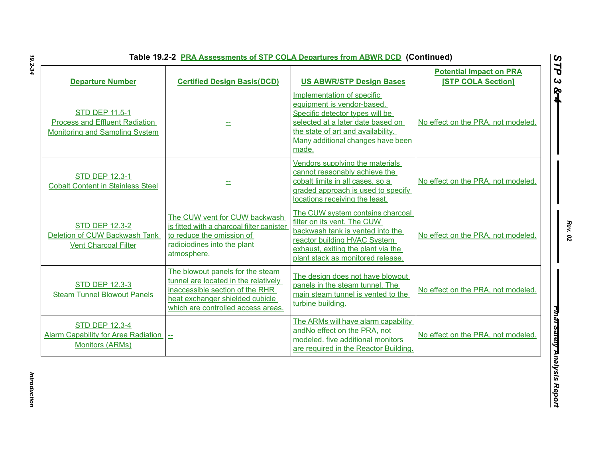| <b>Departure Number</b>                                                                          | <b>Certified Design Basis(DCD)</b>                                                                                                                                                   | <b>US ABWR/STP Design Bases</b>                                                                                                                                                                                      | <b>Potential Impact on PRA</b><br><b>[STP COLA Section]</b> |
|--------------------------------------------------------------------------------------------------|--------------------------------------------------------------------------------------------------------------------------------------------------------------------------------------|----------------------------------------------------------------------------------------------------------------------------------------------------------------------------------------------------------------------|-------------------------------------------------------------|
| <b>STD DEP 11.5-1</b><br><b>Process and Effluent Radiation</b><br>Monitoring and Sampling System |                                                                                                                                                                                      | Implementation of specific<br>equipment is vendor-based.<br>Specific detector types will be<br>selected at a later date based on<br>the state of art and availability.<br>Many additional changes have been<br>made. | No effect on the PRA, not modeled.                          |
| <b>STD DEP 12.3-1</b><br><b>Cobalt Content in Stainless Steel</b>                                |                                                                                                                                                                                      | Vendors supplying the materials<br>cannot reasonably achieve the<br>cobalt limits in all cases, so a<br>graded approach is used to specify<br>locations receiving the least.                                         | No effect on the PRA, not modeled.                          |
| <b>STD DEP 12.3-2</b><br>Deletion of CUW Backwash Tank<br><b>Vent Charcoal Filter</b>            | The CUW vent for CUW backwash<br>is fitted with a charcoal filter canister<br>to reduce the omission of<br>radioiodines into the plant<br>atmosphere.                                | The CUW system contains charcoal<br>filter on its vent. The CUW<br>backwash tank is vented into the<br>reactor building HVAC System<br>exhaust, exiting the plant via the<br>plant stack as monitored release.       | No effect on the PRA, not modeled.                          |
| <b>STD DEP 12.3-3</b><br><b>Steam Tunnel Blowout Panels</b>                                      | The blowout panels for the steam<br>tunnel are located in the relatively<br>inaccessible section of the RHR<br>heat exchanger shielded cubicle<br>which are controlled access areas. | The design does not have blowout<br>panels in the steam tunnel. The<br>main steam tunnel is vented to the<br>turbine building.                                                                                       | No effect on the PRA, not modeled.                          |
| <b>STD DEP 12.3-4</b><br><b>Alarm Capability for Area Radiation</b><br><b>Monitors (ARMs)</b>    | $\equiv$                                                                                                                                                                             | The ARMs will have alarm capability<br>andNo effect on the PRA, not<br>modeled. five additional monitors<br>are required in the Reactor Building.                                                                    | No effect on the PRA, not modeled.                          |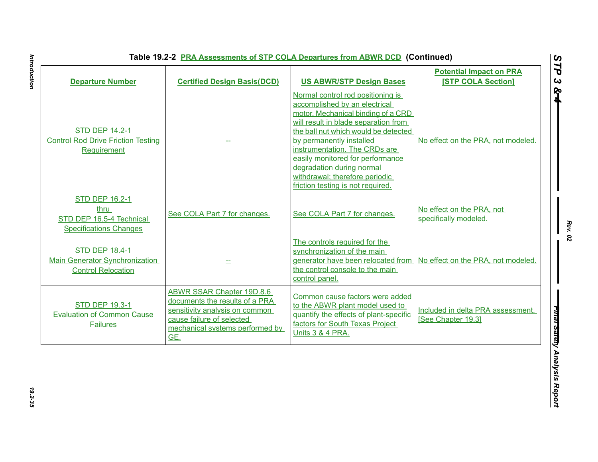|  |  | Table 19.2-2 PRA Assessments of STP COLA Departures from ABWR DCD (Continued) |  |
|--|--|-------------------------------------------------------------------------------|--|
|--|--|-------------------------------------------------------------------------------|--|

| <b>Departure Number</b>                                                                     | <b>Certified Design Basis(DCD)</b>                                                                                                                                          | <b>US ABWR/STP Design Bases</b>                                                                                                                                                                                                                                                                                                                                                               | <b>Potential Impact on PRA</b><br><b>[STP COLA Section]</b> |
|---------------------------------------------------------------------------------------------|-----------------------------------------------------------------------------------------------------------------------------------------------------------------------------|-----------------------------------------------------------------------------------------------------------------------------------------------------------------------------------------------------------------------------------------------------------------------------------------------------------------------------------------------------------------------------------------------|-------------------------------------------------------------|
| <b>STD DEP 14.2-1</b><br><b>Control Rod Drive Friction Testing</b><br>Requirement           |                                                                                                                                                                             | Normal control rod positioning is<br>accomplished by an electrical<br>motor. Mechanical binding of a CRD<br>will result in blade separation from<br>the ball nut which would be detected<br>by permanently installed<br>instrumentation. The CRDs are<br>easily monitored for performance<br>degradation during normal<br>withdrawal; therefore periodic<br>friction testing is not required. | No effect on the PRA, not modeled.                          |
| <b>STD DEP 16.2-1</b><br>thru<br>STD DEP 16.5-4 Technical<br><b>Specifications Changes</b>  | See COLA Part 7 for changes.                                                                                                                                                | See COLA Part 7 for changes.                                                                                                                                                                                                                                                                                                                                                                  | No effect on the PRA, not<br>specifically modeled.          |
| <b>STD DEP 18.4-1</b><br><b>Main Generator Synchronization</b><br><b>Control Relocation</b> |                                                                                                                                                                             | The controls required for the<br>synchronization of the main<br>generator have been relocated from No effect on the PRA, not modeled.<br>the control console to the main<br>control panel.                                                                                                                                                                                                    |                                                             |
| <b>STD DEP 19.3-1</b><br><b>Evaluation of Common Cause</b><br><b>Failures</b>               | <b>ABWR SSAR Chapter 19D.8.6</b><br>documents the results of a PRA<br>sensitivity analysis on common<br>cause failure of selected<br>mechanical systems performed by<br>GE. | Common cause factors were added<br>to the ABWR plant model used to<br>quantify the effects of plant-specific<br>factors for South Texas Project<br>Units 3 & 4 PRA.                                                                                                                                                                                                                           | Included in delta PRA assessment.<br>[See Chapter 19.3]     |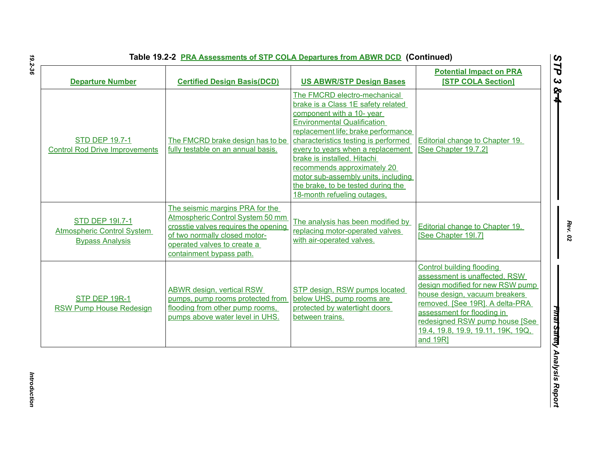| <b>STD DEP 19.7-1</b><br>The FMCRD brake design has to be<br>fully testable on an annual basis.<br><b>Control Rod Drive Improvements</b>                                                                                                                                                         | The FMCRD electro-mechanical<br>brake is a Class 1E safety related<br>component with a 10- year<br><b>Environmental Qualification</b><br>replacement life; brake performance<br>characteristics testing is performed<br>every to years when a replacement<br>brake is installed. Hitachi<br>recommends approximately 20<br>motor sub-assembly units, including | Editorial change to Chapter 19.<br>[See Chapter 19.7.2]                                                                                                                                                                                                                                     |
|--------------------------------------------------------------------------------------------------------------------------------------------------------------------------------------------------------------------------------------------------------------------------------------------------|----------------------------------------------------------------------------------------------------------------------------------------------------------------------------------------------------------------------------------------------------------------------------------------------------------------------------------------------------------------|---------------------------------------------------------------------------------------------------------------------------------------------------------------------------------------------------------------------------------------------------------------------------------------------|
|                                                                                                                                                                                                                                                                                                  | the brake, to be tested during the<br>18-month refueling outages,                                                                                                                                                                                                                                                                                              |                                                                                                                                                                                                                                                                                             |
| The seismic margins PRA for the<br>Atmospheric Control System 50 mm<br><b>STD DEP 191.7-1</b><br>crosstie valves requires the opening<br><b>Atmospheric Control System</b><br>of two normally closed motor-<br><b>Bypass Analysis</b><br>operated valves to create a<br>containment bypass path. | The analysis has been modified by<br>replacing motor-operated valves<br>with air-operated valves.                                                                                                                                                                                                                                                              | Editorial change to Chapter 19.<br>[See Chapter 19I.7]                                                                                                                                                                                                                                      |
| <b>ABWR design, vertical RSW</b><br>STP DEP 19R-1<br>pumps, pump rooms protected from<br>flooding from other pump rooms,<br>RSW Pump House Redesign<br>pumps above water level in UHS.                                                                                                           | STP design, RSW pumps located<br>below UHS, pump rooms are<br>protected by watertight doors<br>between trains.                                                                                                                                                                                                                                                 | <b>Control building flooding</b><br>assessment is unaffected, RSW<br>design modified for new RSW pump<br>house design, vacuum breakers<br>removed. [See 19R]. A delta-PRA<br>assessment for flooding in<br>redesigned RSW pump house [See<br>19.4, 19.8, 19.9, 19.11, 19K, 19Q,<br>and 19R] |